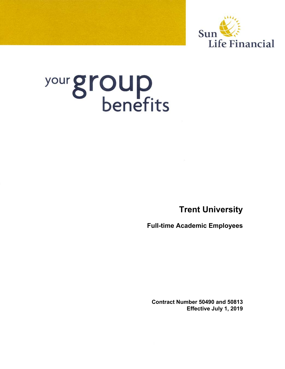

# your group

**Trent University**

**Full-time Academic Employees** 

**Contract Number 50490 and 50813 Effective July 1, 2019**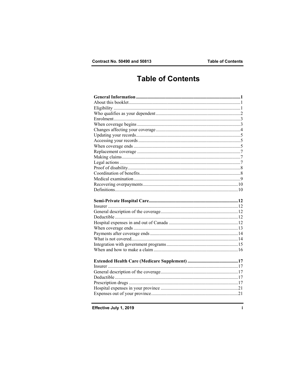# **Table of Contents**

Effective July 1, 2019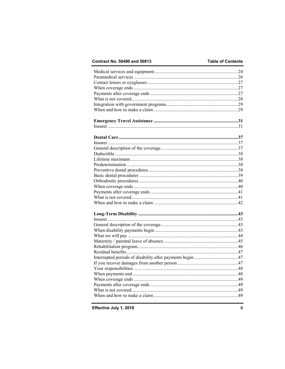## Contract No. 50490 and 50813

## **Table of Contents**

Effective July 1, 2019

ii.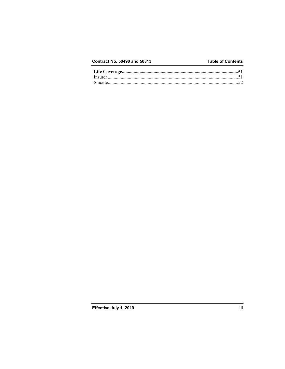## Contract No. 50490 and 50813

## **Table of Contents**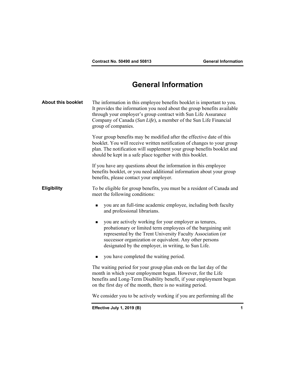# **General Information**

| <b>About this booklet</b> | The information in this employee benefits booklet is important to you.<br>It provides the information you need about the group benefits available<br>through your employer's group contract with Sun Life Assurance<br>Company of Canada (Sun Life), a member of the Sun Life Financial<br>group of companies. |   |
|---------------------------|----------------------------------------------------------------------------------------------------------------------------------------------------------------------------------------------------------------------------------------------------------------------------------------------------------------|---|
|                           | Your group benefits may be modified after the effective date of this<br>booklet. You will receive written notification of changes to your group<br>plan. The notification will supplement your group benefits booklet and<br>should be kept in a safe place together with this booklet.                        |   |
|                           | If you have any questions about the information in this employee<br>benefits booklet, or you need additional information about your group<br>benefits, please contact your employer.                                                                                                                           |   |
| <b>Eligibility</b>        | To be eligible for group benefits, you must be a resident of Canada and<br>meet the following conditions:                                                                                                                                                                                                      |   |
|                           | you are an full-time academic employee, including both faculty<br>п<br>and professional librarians.                                                                                                                                                                                                            |   |
|                           | you are actively working for your employer as tenures,<br>п<br>probationary or limited term employees of the bargaining unit<br>represented by the Trent University Faculty Association (or<br>successor organization or equivalent. Any other persons<br>designated by the employer, in writing, to Sun Life. |   |
|                           | you have completed the waiting period.<br>٠                                                                                                                                                                                                                                                                    |   |
|                           | The waiting period for your group plan ends on the last day of the<br>month in which your employment began. However, for the Life<br>benefits and Long-Term Disability benefit, if your employment began<br>on the first day of the month, there is no waiting period.                                         |   |
|                           | We consider you to be actively working if you are performing all the                                                                                                                                                                                                                                           |   |
|                           | Effective July 1, 2019 (B)                                                                                                                                                                                                                                                                                     | 1 |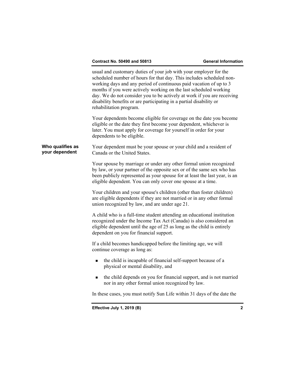|                                    | Effective July 1, 2019 (B)                                                                                                                                                                                                                                                                                                                                                                                                                                        | $\mathbf{2}$ |
|------------------------------------|-------------------------------------------------------------------------------------------------------------------------------------------------------------------------------------------------------------------------------------------------------------------------------------------------------------------------------------------------------------------------------------------------------------------------------------------------------------------|--------------|
|                                    | In these cases, you must notify Sun Life within 31 days of the date the                                                                                                                                                                                                                                                                                                                                                                                           |              |
|                                    | the child depends on you for financial support, and is not married<br>п<br>nor in any other formal union recognized by law.                                                                                                                                                                                                                                                                                                                                       |              |
|                                    | the child is incapable of financial self-support because of a<br>$\blacksquare$<br>physical or mental disability, and                                                                                                                                                                                                                                                                                                                                             |              |
|                                    | If a child becomes handicapped before the limiting age, we will<br>continue coverage as long as:                                                                                                                                                                                                                                                                                                                                                                  |              |
|                                    | A child who is a full-time student attending an educational institution<br>recognized under the Income Tax Act (Canada) is also considered an<br>eligible dependent until the age of 25 as long as the child is entirely<br>dependent on you for financial support.                                                                                                                                                                                               |              |
|                                    | Your children and your spouse's children (other than foster children)<br>are eligible dependents if they are not married or in any other formal<br>union recognized by law, and are under age 21.                                                                                                                                                                                                                                                                 |              |
|                                    | Your spouse by marriage or under any other formal union recognized<br>by law, or your partner of the opposite sex or of the same sex who has<br>been publicly represented as your spouse for at least the last year, is an<br>eligible dependent. You can only cover one spouse at a time.                                                                                                                                                                        |              |
| Who qualifies as<br>your dependent | Your dependent must be your spouse or your child and a resident of<br>Canada or the United States.                                                                                                                                                                                                                                                                                                                                                                |              |
|                                    | Your dependents become eligible for coverage on the date you become<br>eligible or the date they first become your dependent, whichever is<br>later. You must apply for coverage for yourself in order for your<br>dependents to be eligible.                                                                                                                                                                                                                     |              |
|                                    | usual and customary duties of your job with your employer for the<br>scheduled number of hours for that day. This includes scheduled non-<br>working days and any period of continuous paid vacation of up to 3<br>months if you were actively working on the last scheduled working<br>day. We do not consider you to be actively at work if you are receiving<br>disability benefits or are participating in a partial disability or<br>rehabilitation program. |              |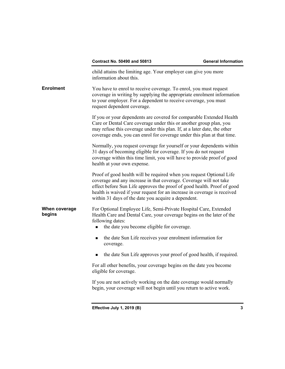| <b>Contract No. 50490 and 50813</b> |  |  |  |  |
|-------------------------------------|--|--|--|--|
|-------------------------------------|--|--|--|--|

|                         | Effective July 1, 2019 (B)<br>3                                                                                                                                                                                                                                                                                                                          |
|-------------------------|----------------------------------------------------------------------------------------------------------------------------------------------------------------------------------------------------------------------------------------------------------------------------------------------------------------------------------------------------------|
|                         | If you are not actively working on the date coverage would normally<br>begin, your coverage will not begin until you return to active work.                                                                                                                                                                                                              |
|                         | For all other benefits, your coverage begins on the date you become<br>eligible for coverage.                                                                                                                                                                                                                                                            |
|                         | the date Sun Life approves your proof of good health, if required.                                                                                                                                                                                                                                                                                       |
|                         | the date Sun Life receives your enrolment information for<br>٠<br>coverage.                                                                                                                                                                                                                                                                              |
| When coverage<br>begins | For Optional Employee Life, Semi-Private Hospital Care, Extended<br>Health Care and Dental Care, your coverage begins on the later of the<br>following dates:<br>the date you become eligible for coverage.                                                                                                                                              |
|                         | Proof of good health will be required when you request Optional Life<br>coverage and any increase in that coverage. Coverage will not take<br>effect before Sun Life approves the proof of good health. Proof of good<br>health is waived if your request for an increase in coverage is received<br>within 31 days of the date you acquire a dependent. |
|                         | Normally, you request coverage for yourself or your dependents within<br>31 days of becoming eligible for coverage. If you do not request<br>coverage within this time limit, you will have to provide proof of good<br>health at your own expense.                                                                                                      |
|                         | If you or your dependents are covered for comparable Extended Health<br>Care or Dental Care coverage under this or another group plan, you<br>may refuse this coverage under this plan. If, at a later date, the other<br>coverage ends, you can enrol for coverage under this plan at that time.                                                        |
| <b>Enrolment</b>        | You have to enrol to receive coverage. To enrol, you must request<br>coverage in writing by supplying the appropriate enrolment information<br>to your employer. For a dependent to receive coverage, you must<br>request dependent coverage.                                                                                                            |
|                         | child attains the limiting age. Your employer can give you more<br>information about this.                                                                                                                                                                                                                                                               |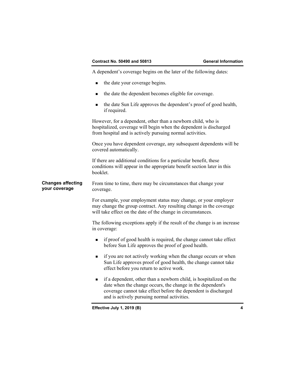A dependent's coverage begins on the later of the following dates:

- the date your coverage begins.
- the date the dependent becomes eligible for coverage.
- the date Sun Life approves the dependent's proof of good health, if required.

However, for a dependent, other than a newborn child, who is hospitalized, coverage will begin when the dependent is discharged from hospital and is actively pursuing normal activities.

Once you have dependent coverage, any subsequent dependents will be covered automatically.

If there are additional conditions for a particular benefit, these conditions will appear in the appropriate benefit section later in this booklet.

**Changes affecting your coverage**  From time to time, there may be circumstances that change your coverage.

> For example, your employment status may change, or your employer may change the group contract. Any resulting change in the coverage will take effect on the date of the change in circumstances.

The following exceptions apply if the result of the change is an increase in coverage:

- $\blacksquare$  if proof of good health is required, the change cannot take effect before Sun Life approves the proof of good health.
- **if you are not actively working when the change occurs or when** Sun Life approves proof of good health, the change cannot take effect before you return to active work.
- if a dependent, other than a newborn child, is hospitalized on the date when the change occurs, the change in the dependent's coverage cannot take effect before the dependent is discharged and is actively pursuing normal activities.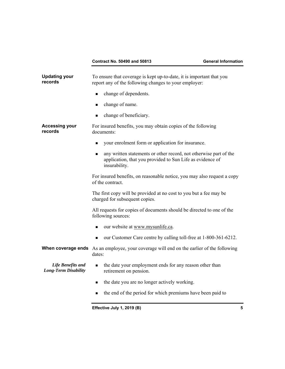| <b>Updating your</b><br>records                         | To ensure that coverage is kept up-to-date, it is important that you<br>report any of the following changes to your employer:                   |  |
|---------------------------------------------------------|-------------------------------------------------------------------------------------------------------------------------------------------------|--|
|                                                         | change of dependents.<br>π                                                                                                                      |  |
|                                                         | change of name.<br>٠                                                                                                                            |  |
|                                                         | change of beneficiary.<br>■                                                                                                                     |  |
| <b>Accessing your</b><br>records                        | For insured benefits, you may obtain copies of the following<br>documents:                                                                      |  |
|                                                         | your enrolment form or application for insurance.<br>■                                                                                          |  |
|                                                         | any written statements or other record, not otherwise part of the<br>application, that you provided to Sun Life as evidence of<br>insurability. |  |
|                                                         | For insured benefits, on reasonable notice, you may also request a copy<br>of the contract.                                                     |  |
|                                                         | The first copy will be provided at no cost to you but a fee may be<br>charged for subsequent copies.                                            |  |
|                                                         | All requests for copies of documents should be directed to one of the<br>following sources:                                                     |  |
|                                                         | our website at www.mysunlife.ca.<br>■                                                                                                           |  |
|                                                         | our Customer Care centre by calling toll-free at 1-800-361-6212.<br>٠                                                                           |  |
| When coverage ends                                      | As an employee, your coverage will end on the earlier of the following<br>dates:                                                                |  |
| <b>Life Benefits and</b><br><b>Long-Term Disability</b> | the date your employment ends for any reason other than<br>٠<br>retirement on pension.                                                          |  |
|                                                         | the date you are no longer actively working.<br>■                                                                                               |  |
|                                                         | the end of the period for which premiums have been paid to<br>■                                                                                 |  |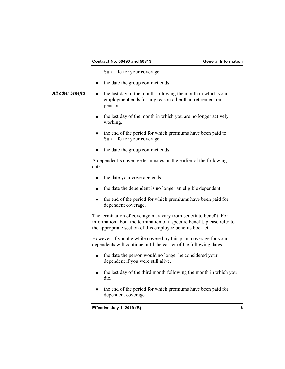Sun Life for your coverage.

- the date the group contract ends.
- All other benefits **the** last day of the month following the month in which your employment ends for any reason other than retirement on pension.
	- the last day of the month in which you are no longer actively working.
	- **the end of the period for which premiums have been paid to** Sun Life for your coverage.
	- the date the group contract ends.

A dependent's coverage terminates on the earlier of the following dates:

- the date your coverage ends.
- the date the dependent is no longer an eligible dependent.
- the end of the period for which premiums have been paid for dependent coverage.

 The termination of coverage may vary from benefit to benefit. For information about the termination of a specific benefit, please refer to the appropriate section of this employee benefits booklet.

However, if you die while covered by this plan, coverage for your dependents will continue until the earlier of the following dates:

- the date the person would no longer be considered your dependent if you were still alive.
- the last day of the third month following the month in which you die.
- the end of the period for which premiums have been paid for dependent coverage.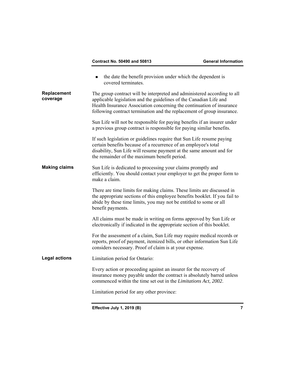|                         | <b>Contract No. 50490 and 50813</b>                                                                                                                                                                                                                                                               | <b>General Information</b> |
|-------------------------|---------------------------------------------------------------------------------------------------------------------------------------------------------------------------------------------------------------------------------------------------------------------------------------------------|----------------------------|
|                         | the date the benefit provision under which the dependent is<br>■<br>covered terminates.                                                                                                                                                                                                           |                            |
| Replacement<br>coverage | The group contract will be interpreted and administered according to all<br>applicable legislation and the guidelines of the Canadian Life and<br>Health Insurance Association concerning the continuation of insurance<br>following contract termination and the replacement of group insurance. |                            |
|                         | Sun Life will not be responsible for paying benefits if an insurer under<br>a previous group contract is responsible for paying similar benefits.                                                                                                                                                 |                            |
|                         | If such legislation or guidelines require that Sun Life resume paying<br>certain benefits because of a recurrence of an employee's total<br>disability, Sun Life will resume payment at the same amount and for<br>the remainder of the maximum benefit period.                                   |                            |
| <b>Making claims</b>    | Sun Life is dedicated to processing your claims promptly and<br>efficiently. You should contact your employer to get the proper form to<br>make a claim.                                                                                                                                          |                            |
|                         | There are time limits for making claims. These limits are discussed in<br>the appropriate sections of this employee benefits booklet. If you fail to<br>abide by these time limits, you may not be entitled to some or all<br>benefit payments.                                                   |                            |
|                         | All claims must be made in writing on forms approved by Sun Life or<br>electronically if indicated in the appropriate section of this booklet.                                                                                                                                                    |                            |
|                         | For the assessment of a claim, Sun Life may require medical records or<br>reports, proof of payment, itemized bills, or other information Sun Life<br>considers necessary. Proof of claim is at your expense.                                                                                     |                            |
| <b>Legal actions</b>    | Limitation period for Ontario:                                                                                                                                                                                                                                                                    |                            |
|                         | Every action or proceeding against an insurer for the recovery of<br>insurance money payable under the contract is absolutely barred unless<br>commenced within the time set out in the <i>Limitations Act</i> , 2002.                                                                            |                            |
|                         | Limitation period for any other province:                                                                                                                                                                                                                                                         |                            |
|                         | Effective July 1, 2019 (B)                                                                                                                                                                                                                                                                        | 7                          |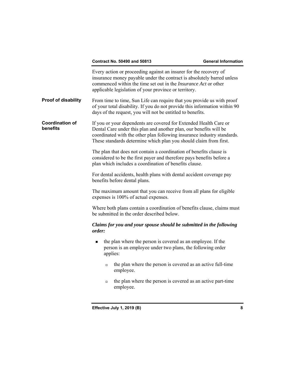| <b>Contract No. 50490 and 50813</b><br><b>General Information</b> |
|-------------------------------------------------------------------|
|-------------------------------------------------------------------|

|                                    | Every action or proceeding against an insurer for the recovery of<br>insurance money payable under the contract is absolutely barred unless<br>commenced within the time set out in the Insurance Act or other<br>applicable legislation of your province or territory.                 |  |
|------------------------------------|-----------------------------------------------------------------------------------------------------------------------------------------------------------------------------------------------------------------------------------------------------------------------------------------|--|
| Proof of disability                | From time to time, Sun Life can require that you provide us with proof<br>of your total disability. If you do not provide this information within 90<br>days of the request, you will not be entitled to benefits.                                                                      |  |
| <b>Coordination of</b><br>benefits | If you or your dependents are covered for Extended Health Care or<br>Dental Care under this plan and another plan, our benefits will be<br>coordinated with the other plan following insurance industry standards.<br>These standards determine which plan you should claim from first. |  |
|                                    | The plan that does not contain a coordination of benefits clause is<br>considered to be the first payer and therefore pays benefits before a<br>plan which includes a coordination of benefits clause.                                                                                  |  |
|                                    | For dental accidents, health plans with dental accident coverage pay<br>benefits before dental plans.                                                                                                                                                                                   |  |
|                                    | The maximum amount that you can receive from all plans for eligible<br>expenses is 100% of actual expenses.                                                                                                                                                                             |  |
|                                    | Where both plans contain a coordination of benefits clause, claims must<br>be submitted in the order described below.                                                                                                                                                                   |  |
|                                    | Claims for you and your spouse should be submitted in the following<br>order:                                                                                                                                                                                                           |  |
|                                    | the plan where the person is covered as an employee. If the<br>п<br>person is an employee under two plans, the following order<br>applies:                                                                                                                                              |  |
|                                    | the plan where the person is covered as an active full-time<br>$\Box$<br>employee.                                                                                                                                                                                                      |  |
|                                    | the plan where the person is covered as an active part-time<br>$\Box$<br>employee.                                                                                                                                                                                                      |  |
|                                    |                                                                                                                                                                                                                                                                                         |  |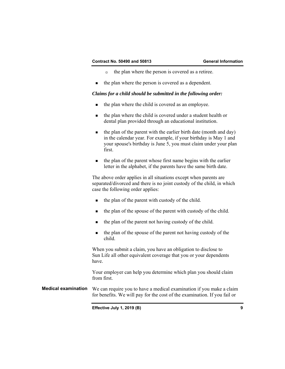- $\Box$  the plan where the person is covered as a retiree.
- $\blacksquare$  the plan where the person is covered as a dependent.

## *Claims for a child should be submitted in the following order:*

- the plan where the child is covered as an employee.
- the plan where the child is covered under a student health or dental plan provided through an educational institution.
- $\blacksquare$  the plan of the parent with the earlier birth date (month and day) in the calendar year. For example, if your birthday is May 1 and your spouse's birthday is June 5, you must claim under your plan first.
- the plan of the parent whose first name begins with the earlier letter in the alphabet, if the parents have the same birth date.

The above order applies in all situations except when parents are separated/divorced and there is no joint custody of the child, in which case the following order applies:

- $\blacksquare$  the plan of the parent with custody of the child.
- the plan of the spouse of the parent with custody of the child.
- the plan of the parent not having custody of the child.
- the plan of the spouse of the parent not having custody of the child.

When you submit a claim, you have an obligation to disclose to Sun Life all other equivalent coverage that you or your dependents have.

Your employer can help you determine which plan you should claim from first.

**Medical examination** We can require you to have a medical examination if you make a claim for benefits. We will pay for the cost of the examination. If you fail or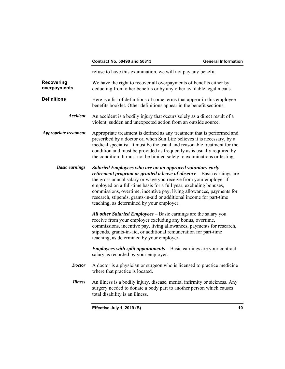|                                   | <b>Contract No. 50490 and 50813</b>                                                                                                                                                                                                                                                                                                                                                                                                                                        | <b>General Information</b> |  |
|-----------------------------------|----------------------------------------------------------------------------------------------------------------------------------------------------------------------------------------------------------------------------------------------------------------------------------------------------------------------------------------------------------------------------------------------------------------------------------------------------------------------------|----------------------------|--|
|                                   | refuse to have this examination, we will not pay any benefit.                                                                                                                                                                                                                                                                                                                                                                                                              |                            |  |
| <b>Recovering</b><br>overpayments | We have the right to recover all overpayments of benefits either by<br>deducting from other benefits or by any other available legal means.                                                                                                                                                                                                                                                                                                                                |                            |  |
| <b>Definitions</b>                | Here is a list of definitions of some terms that appear in this employee<br>benefits booklet. Other definitions appear in the benefit sections.                                                                                                                                                                                                                                                                                                                            |                            |  |
| <b>Accident</b>                   | An accident is a bodily injury that occurs solely as a direct result of a<br>violent, sudden and unexpected action from an outside source.                                                                                                                                                                                                                                                                                                                                 |                            |  |
| <b>Appropriate treatment</b>      | Appropriate treatment is defined as any treatment that is performed and<br>prescribed by a doctor or, when Sun Life believes it is necessary, by a<br>medical specialist. It must be the usual and reasonable treatment for the<br>condition and must be provided as frequently as is usually required by<br>the condition. It must not be limited solely to examinations or testing.                                                                                      |                            |  |
| <b>Basic earnings</b>             | Salaried Employees who are on an approved voluntary early<br>retirement program or granted a leave of absence - Basic earnings are<br>the gross annual salary or wage you receive from your employer if<br>employed on a full-time basis for a full year, excluding bonuses,<br>commissions, overtime, incentive pay, living allowances, payments for<br>research, stipends, grants-in-aid or additional income for part-time<br>teaching, as determined by your employer. |                            |  |
|                                   | All other Salaried Employees - Basic earnings are the salary you<br>receive from your employer excluding any bonus, overtime,<br>commissions, incentive pay, living allowances, payments for research,<br>stipends, grants-in-aid, or additional remuneration for part-time<br>teaching, as determined by your employer.                                                                                                                                                   |                            |  |
|                                   | <b>Employees with split appointments</b> $-$ Basic earnings are your contract<br>salary as recorded by your employer.                                                                                                                                                                                                                                                                                                                                                      |                            |  |
| <i>Doctor</i>                     | A doctor is a physician or surgeon who is licensed to practice medicine<br>where that practice is located.                                                                                                                                                                                                                                                                                                                                                                 |                            |  |
| <b>Illness</b>                    | An illness is a bodily injury, disease, mental infirmity or sickness. Any<br>surgery needed to donate a body part to another person which causes<br>total disability is an illness.                                                                                                                                                                                                                                                                                        |                            |  |
|                                   | Effective July 1, 2019 (B)                                                                                                                                                                                                                                                                                                                                                                                                                                                 | 10                         |  |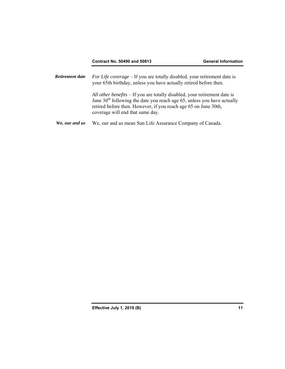*Retirement date For Life coverage* – If you are totally disabled, your retirement date is your 65th birthday, unless you have actually retired before then.

> *All other benefits* – If you are totally disabled, your retirement date is June  $30<sup>th</sup>$  following the date you reach age 65, unless you have actually retired before then. However, if you reach age 65 on June 30th, coverage will end that same day.

We, our and us We, our and us mean Sun Life Assurance Company of Canada.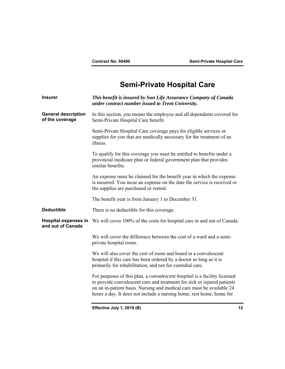# **Semi-Private Hospital Care**

| <b>Insurer</b>                                   | This benefit is insured by Sun Life Assurance Company of Canada<br>under contract number issued to Trent University.                                                                                                                                                                                  |
|--------------------------------------------------|-------------------------------------------------------------------------------------------------------------------------------------------------------------------------------------------------------------------------------------------------------------------------------------------------------|
| <b>General description</b><br>of the coverage    | In this section, you means the employee and all dependents covered for<br>Semi-Private Hospital Care benefit                                                                                                                                                                                          |
|                                                  | Semi-Private Hospital Care coverage pays for eligible services or<br>supplies for you that are medically necessary for the treatment of an<br>illness.                                                                                                                                                |
|                                                  | To qualify for this coverage you must be entitled to benefits under a<br>provincial medicare plan or federal government plan that provides<br>similar benefits.                                                                                                                                       |
|                                                  | An expense must be claimed for the benefit year in which the expense<br>is incurred. You incur an expense on the date the service is received or<br>the supplies are purchased or rented.                                                                                                             |
|                                                  | The benefit year is from January 1 to December 31.                                                                                                                                                                                                                                                    |
| <b>Deductible</b>                                | There is no deductible for this coverage.                                                                                                                                                                                                                                                             |
| <b>Hospital expenses in</b><br>and out of Canada | We will cover 100% of the costs for hospital care in and out of Canada.                                                                                                                                                                                                                               |
|                                                  | We will cover the difference between the cost of a ward and a semi-<br>private hospital room.                                                                                                                                                                                                         |
|                                                  | We will also cover the cost of room and board in a convalescent<br>hospital if this care has been ordered by a doctor as long as it is<br>primarily for rehabilitation, and not for custodial care.                                                                                                   |
|                                                  | For purposes of this plan, a convalescent hospital is a facility licensed<br>to provide convalescent care and treatment for sick or injured patients<br>on an in-patient basis. Nursing and medical care must be available 24<br>hours a day. It does not include a nursing home, rest home, home for |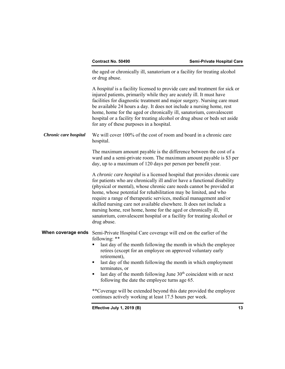the aged or chronically ill, sanatorium or a facility for treating alcohol or drug abuse.

A *hospital* is a facility licensed to provide care and treatment for sick or injured patients, primarily while they are acutely ill. It must have facilities for diagnostic treatment and major surgery. Nursing care must be available 24 hours a day. It does not include a nursing home, rest home, home for the aged or chronically ill, sanatorium, convalescent hospital or a facility for treating alcohol or drug abuse or beds set aside for any of these purposes in a hospital.

*Chronic care hospital* We will cover 100% of the cost of room and board in a chronic care hospital.

> The maximum amount payable is the difference between the cost of a ward and a semi-private room. The maximum amount payable is \$3 per day, up to a maximum of 120 days per person per benefit year.

> A *chronic care hospital* is a licensed hospital that provides chronic care for patients who are chronically ill and/or have a functional disability (physical or mental), whose chronic care needs cannot be provided at home, whose potential for rehabilitation may be limited, and who require a range of therapeutic services, medical management and/or skilled nursing care not available elsewhere. It does not include a nursing home, rest home, home for the aged or chronically ill, sanatorium, convalescent hospital or a facility for treating alcohol or drug abuse.

**When coverage ends** Semi-Private Hospital Care coverage will end on the earlier of the following: \*\*

- retires (except for an employee on approved voluntary early **Example 1** ast day of the month following the month in which the employee retirement),
- last day of the month following the month in which employment terminates, or
- last day of the month following June  $30<sup>th</sup>$  coincident with or next following the date the employee turns age 65.

\*\*Coverage will be extended beyond this date provided the employee continues actively working at least 17.5 hours per week.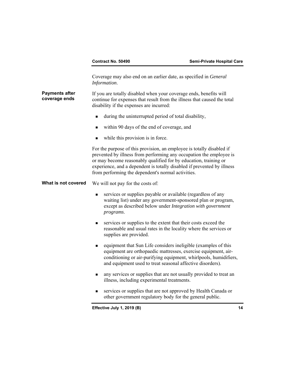|                                        | Contract No. 50490                                                                                                                                                                                                                                                                                                                                | Semi-Private Hospital Care |
|----------------------------------------|---------------------------------------------------------------------------------------------------------------------------------------------------------------------------------------------------------------------------------------------------------------------------------------------------------------------------------------------------|----------------------------|
|                                        | Coverage may also end on an earlier date, as specified in General<br>Information.                                                                                                                                                                                                                                                                 |                            |
| <b>Payments after</b><br>coverage ends | If you are totally disabled when your coverage ends, benefits will<br>continue for expenses that result from the illness that caused the total<br>disability if the expenses are incurred:                                                                                                                                                        |                            |
|                                        | during the uninterrupted period of total disability,<br>٠                                                                                                                                                                                                                                                                                         |                            |
|                                        | within 90 days of the end of coverage, and<br>п                                                                                                                                                                                                                                                                                                   |                            |
|                                        | while this provision is in force.<br>п                                                                                                                                                                                                                                                                                                            |                            |
|                                        | For the purpose of this provision, an employee is totally disabled if<br>prevented by illness from performing any occupation the employee is<br>or may become reasonably qualified for by education, training or<br>experience, and a dependent is totally disabled if prevented by illness<br>from performing the dependent's normal activities. |                            |
| What is not covered                    | We will not pay for the costs of:                                                                                                                                                                                                                                                                                                                 |                            |
|                                        | services or supplies payable or available (regardless of any<br>п<br>waiting list) under any government-sponsored plan or program,<br>except as described below under Integration with government<br>programs.                                                                                                                                    |                            |
|                                        | services or supplies to the extent that their costs exceed the<br>п<br>reasonable and usual rates in the locality where the services or<br>supplies are provided.                                                                                                                                                                                 |                            |
|                                        | equipment that Sun Life considers ineligible (examples of this<br>п<br>equipment are orthopaedic mattresses, exercise equipment, air-<br>conditioning or air-purifying equipment, whirlpools, humidifiers,<br>and equipment used to treat seasonal affective disorders).                                                                          |                            |
|                                        | any services or supplies that are not usually provided to treat an<br>illness, including experimental treatments.                                                                                                                                                                                                                                 |                            |
|                                        | services or supplies that are not approved by Health Canada or<br>٠<br>other government regulatory body for the general public.                                                                                                                                                                                                                   |                            |
|                                        | Effective July 1, 2019 (B)                                                                                                                                                                                                                                                                                                                        | 14                         |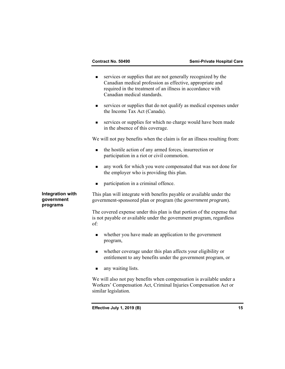**Integration with government programs**  services or supplies that are not generally recognized by the Canadian medical profession as effective, appropriate and required in the treatment of an illness in accordance with Canadian medical standards. services or supplies that do not qualify as medical expenses under the Income Tax Act (Canada). services or supplies for which no charge would have been made in the absence of this coverage. We will not pay benefits when the claim is for an illness resulting from: • the hostile action of any armed forces, insurrection or participation in a riot or civil commotion. **a** any work for which you were compensated that was not done for the employer who is providing this plan. participation in a criminal offence. This plan will integrate with benefits payable or available under the government-sponsored plan or program (the *government program*). The covered expense under this plan is that portion of the expense that is not payable or available under the government program, regardless of: whether you have made an application to the government program, whether coverage under this plan affects your eligibility or entitlement to any benefits under the government program, or **a** any waiting lists. We will also not pay benefits when compensation is available under a Workers' Compensation Act, Criminal Injuries Compensation Act or similar legislation.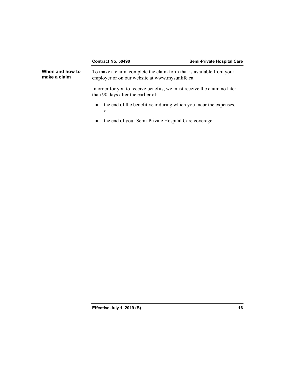|                                 | <b>Contract No. 50490</b>                                                                                                                                                                                                                                                                                                          | <b>Semi-Private Hospital Care</b> |
|---------------------------------|------------------------------------------------------------------------------------------------------------------------------------------------------------------------------------------------------------------------------------------------------------------------------------------------------------------------------------|-----------------------------------|
| When and how to<br>make a claim | To make a claim, complete the claim form that is available from your<br>employer or on our website at www.mysunlife.ca.                                                                                                                                                                                                            |                                   |
|                                 | In order for you to receive benefits, we must receive the claim no later<br>than 90 days after the earlier of:                                                                                                                                                                                                                     |                                   |
|                                 | the end of the benefit year during which you incur the expenses,<br>$\blacksquare$<br>or                                                                                                                                                                                                                                           |                                   |
|                                 | $\mathbf{1}$ $\mathbf{1}$ $\mathbf{0}$ $\mathbf{1}$ $\mathbf{0}$ $\mathbf{1}$ $\mathbf{0}$ $\mathbf{1}$ $\mathbf{0}$ $\mathbf{1}$ $\mathbf{0}$ $\mathbf{1}$ $\mathbf{0}$ $\mathbf{1}$ $\mathbf{0}$ $\mathbf{1}$ $\mathbf{0}$ $\mathbf{1}$ $\mathbf{0}$ $\mathbf{1}$ $\mathbf{0}$ $\mathbf{1}$ $\mathbf{0}$ $\mathbf{1}$ $\mathbf{$ |                                   |

## the end of your Semi-Private Hospital Care coverage.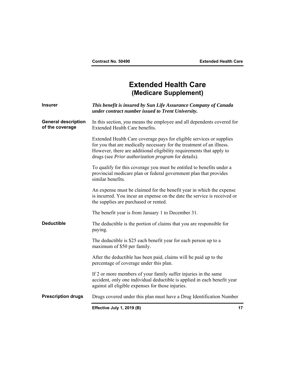## **Extended Health Care (Medicare Supplement)**

| <b>Insurer</b>                                | This benefit is insured by Sun Life Assurance Company of Canada<br>under contract number issued to Trent University.                                                                                                                                                          |    |
|-----------------------------------------------|-------------------------------------------------------------------------------------------------------------------------------------------------------------------------------------------------------------------------------------------------------------------------------|----|
| <b>General description</b><br>of the coverage | In this section, you means the employee and all dependents covered for<br>Extended Health Care benefits.                                                                                                                                                                      |    |
|                                               | Extended Health Care coverage pays for eligible services or supplies<br>for you that are medically necessary for the treatment of an illness.<br>However, there are additional eligibility requirements that apply to<br>drugs (see Prior authorization program for details). |    |
|                                               | To qualify for this coverage you must be entitled to benefits under a<br>provincial medicare plan or federal government plan that provides<br>similar benefits.                                                                                                               |    |
|                                               | An expense must be claimed for the benefit year in which the expense<br>is incurred. You incur an expense on the date the service is received or<br>the supplies are purchased or rented.                                                                                     |    |
|                                               | The benefit year is from January 1 to December 31.                                                                                                                                                                                                                            |    |
| <b>Deductible</b>                             | The deductible is the portion of claims that you are responsible for<br>paying.                                                                                                                                                                                               |    |
|                                               | The deductible is \$25 each benefit year for each person up to a<br>maximum of \$50 per family.                                                                                                                                                                               |    |
|                                               | After the deductible has been paid, claims will be paid up to the<br>percentage of coverage under this plan.                                                                                                                                                                  |    |
|                                               | If 2 or more members of your family suffer injuries in the same<br>accident, only one individual deductible is applied in each benefit year<br>against all eligible expenses for those injuries.                                                                              |    |
| <b>Prescription drugs</b>                     | Drugs covered under this plan must have a Drug Identification Number                                                                                                                                                                                                          |    |
|                                               | Effective July 1, 2019 (B)                                                                                                                                                                                                                                                    | 17 |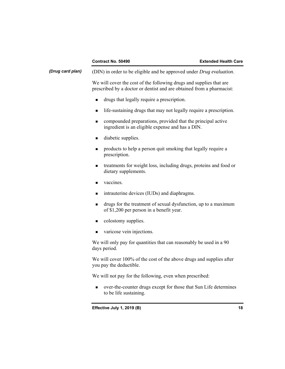|                  | <b>Contract No. 50490</b>                                                                                                                    | <b>Extended Health Care</b> |
|------------------|----------------------------------------------------------------------------------------------------------------------------------------------|-----------------------------|
| (Drug card plan) | (DIN) in order to be eligible and be approved under Drug evaluation.                                                                         |                             |
|                  | We will cover the cost of the following drugs and supplies that are<br>prescribed by a doctor or dentist and are obtained from a pharmacist: |                             |
|                  | drugs that legally require a prescription.<br>$\blacksquare$                                                                                 |                             |
|                  | life-sustaining drugs that may not legally require a prescription.<br>$\blacksquare$                                                         |                             |
|                  | compounded preparations, provided that the principal active<br>■<br>ingredient is an eligible expense and has a DIN.                         |                             |
|                  | diabetic supplies.<br>$\blacksquare$                                                                                                         |                             |
|                  | products to help a person quit smoking that legally require a<br>٠<br>prescription.                                                          |                             |
|                  | treatments for weight loss, including drugs, proteins and food or<br>$\blacksquare$<br>dietary supplements.                                  |                             |
|                  | vaccines.<br>$\blacksquare$                                                                                                                  |                             |
|                  | intrauterine devices (IUDs) and diaphragms.<br>٠                                                                                             |                             |
|                  | drugs for the treatment of sexual dysfunction, up to a maximum<br>$\blacksquare$<br>of \$1,200 per person in a benefit year.                 |                             |
|                  | colostomy supplies.<br>$\blacksquare$                                                                                                        |                             |
|                  | varicose vein injections.<br>$\blacksquare$                                                                                                  |                             |
|                  | We will only pay for quantities that can reasonably be used in a 90<br>days period.                                                          |                             |
|                  | We will cover 100% of the cost of the above drugs and supplies after<br>you pay the deductible.                                              |                             |
|                  | We will not pay for the following, even when prescribed:                                                                                     |                             |
|                  | over-the-counter drugs except for those that Sun Life determines<br>to be life sustaining.                                                   |                             |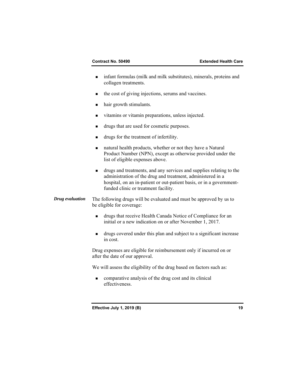- infant formulas (milk and milk substitutes), minerals, proteins and collagen treatments.
- the cost of giving injections, serums and vaccines.
- hair growth stimulants.
- vitamins or vitamin preparations, unless injected.
- drugs that are used for cosmetic purposes.
- drugs for the treatment of infertility.
- natural health products, whether or not they have a Natural Product Number (NPN), except as otherwise provided under the list of eligible expenses above.
- drugs and treatments, and any services and supplies relating to the administration of the drug and treatment, administered in a hospital, on an in-patient or out-patient basis, or in a governmentfunded clinic or treatment facility.
- *Drug evaluation* The following drugs will be evaluated and must be approved by us to be eligible for coverage:
	- drugs that receive Health Canada Notice of Compliance for an initial or a new indication on or after November 1, 2017.
	- drugs covered under this plan and subject to a significant increase in cost.

Drug expenses are eligible for reimbursement only if incurred on or after the date of our approval.

We will assess the eligibility of the drug based on factors such as:

 comparative analysis of the drug cost and its clinical effectiveness.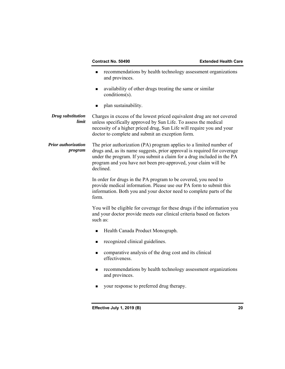- **EXECOMMENDERISH** recommendations by health technology assessment organizations and provinces.
- availability of other drugs treating the same or similar conditions(s).
- **plan sustainability.**

**Drug substitution** Charges in excess of the lowest priced equivalent drug are not covered<br> *limit* unless specifically approved by Sun Life. To assess the medical *limit* unless specifically approved by Sun Life. To assess the medical necessity of a higher priced drug, Sun Life will require you and your doctor to complete and submit an exception form.

*Prior authorization* The prior authorization (PA) program applies to a limited number of *program* drugs and, as its name suggests, prior approval is required for coverage under the program. If you submit a claim for a drug included in the PA program and you have not been pre-approved, your claim will be declined.

> In order for drugs in the PA program to be covered, you need to provide medical information. Please use our PA form to submit this information. Both you and your doctor need to complete parts of the form.

You will be eligible for coverage for these drugs if the information you and your doctor provide meets our clinical criteria based on factors such as:

- Health Canada Product Monograph.
- recognized clinical guidelines.
- comparative analysis of the drug cost and its clinical effectiveness.
- **Example 1** recommendations by health technology assessment organizations and provinces.
- your response to preferred drug therapy.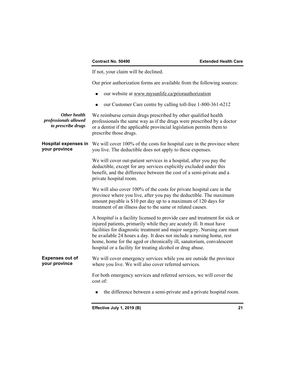If not, your claim will be declined.

Our prior authorization forms are available from the following sources:

- our website at <www.mysunlife.ca/priorauthorization>
- our Customer Care centre by calling toll-free 1-800-361-6212

| Other health<br>professionals allowed<br>to prescribe drugs | We reimburse certain drugs prescribed by other qualified health<br>professionals the same way as if the drugs were prescribed by a doctor<br>or a dentist if the applicable provincial legislation permits them to<br>prescribe those drugs.                                                                                                                                                                                                   |  |
|-------------------------------------------------------------|------------------------------------------------------------------------------------------------------------------------------------------------------------------------------------------------------------------------------------------------------------------------------------------------------------------------------------------------------------------------------------------------------------------------------------------------|--|
| <b>Hospital expenses in</b><br>your province                | We will cover 100% of the costs for hospital care in the province where<br>you live. The deductible does not apply to these expenses.                                                                                                                                                                                                                                                                                                          |  |
|                                                             | We will cover out-patient services in a hospital, after you pay the<br>deductible, except for any services explicitly excluded under this<br>benefit, and the difference between the cost of a semi-private and a<br>private hospital room.                                                                                                                                                                                                    |  |
|                                                             | We will also cover 100% of the costs for private hospital care in the<br>province where you live, after you pay the deductible. The maximum<br>amount payable is \$10 per day up to a maximum of 120 days for<br>treatment of an illness due to the same or related causes.                                                                                                                                                                    |  |
|                                                             | A hospital is a facility licensed to provide care and treatment for sick or<br>injured patients, primarily while they are acutely ill. It must have<br>facilities for diagnostic treatment and major surgery. Nursing care must<br>be available 24 hours a day. It does not include a nursing home, rest<br>home, home for the aged or chronically ill, sanatorium, convalescent<br>hospital or a facility for treating alcohol or drug abuse. |  |
| <b>Expenses out of</b><br>your province                     | We will cover emergency services while you are outside the province<br>where you live. We will also cover referred services.                                                                                                                                                                                                                                                                                                                   |  |
|                                                             | For both emergency services and referred services, we will cover the<br>cost of:                                                                                                                                                                                                                                                                                                                                                               |  |
|                                                             | the difference between a semi-private and a private hospital room.                                                                                                                                                                                                                                                                                                                                                                             |  |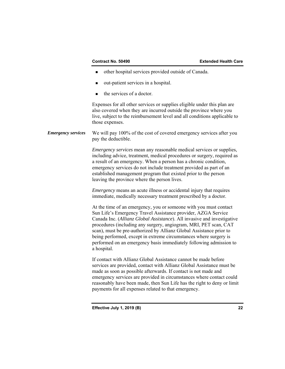- other hospital services provided outside of Canada.
- out-patient services in a hospital.
- the services of a doctor.

Expenses for all other services or supplies eligible under this plan are also covered when they are incurred outside the province where you live, subject to the reimbursement level and all conditions applicable to those expenses.

*Emergency services* We will pay 100% of the cost of covered emergency services after you pay the deductible.

> *Emergency services* mean any reasonable medical services or supplies, including advice, treatment, medical procedures or surgery, required as a result of an emergency. When a person has a chronic condition, emergency services do not include treatment provided as part of an established management program that existed prior to the person leaving the province where the person lives.

*Emergency* means an acute illness or accidental injury that requires immediate, medically necessary treatment prescribed by a doctor.

At the time of an emergency, you or someone with you must contact Sun Life's Emergency Travel Assistance provider, AZGA Service Canada Inc. (*Allianz Global Assistance*). All invasive and investigative procedures (including any surgery, angiogram, MRI, PET scan, CAT scan), must be pre-authorized by Allianz Global Assistance prior to being performed, except in extreme circumstances where surgery is performed on an emergency basis immediately following admission to a hospital.

If contact with Allianz Global Assistance cannot be made before services are provided, contact with Allianz Global Assistance must be made as soon as possible afterwards. If contact is not made and emergency services are provided in circumstances where contact could reasonably have been made, then Sun Life has the right to deny or limit payments for all expenses related to that emergency.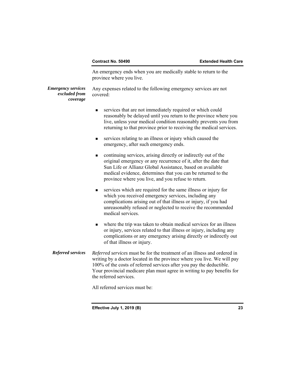An emergency ends when you are medically stable to return to the province where you live.

*Emergency services* Any expenses related to the following emergency services are not *excluded from* covered: *coverage* 

- services that are not immediately required or which could reasonably be delayed until you return to the province where you live, unless your medical condition reasonably prevents you from returning to that province prior to receiving the medical services.
- services relating to an illness or injury which caused the emergency, after such emergency ends.
- continuing services, arising directly or indirectly out of the original emergency or any recurrence of it, after the date that Sun Life or Allianz Global Assistance, based on available medical evidence, determines that you can be returned to the province where you live, and you refuse to return.
- services which are required for the same illness or injury for which you received emergency services, including any complications arising out of that illness or injury, if you had unreasonably refused or neglected to receive the recommended medical services.
- complications or any emergency arising directly or indirectly out where the trip was taken to obtain medical services for an illness or injury, services related to that illness or injury, including any of that illness or injury.
- *Referred services Referred services* must be for the treatment of an illness and ordered in writing by a doctor located in the province where you live. We will pay 100% of the costs of referred services after you pay the deductible. Your provincial medicare plan must agree in writing to pay benefits for the referred services.

All referred services must be: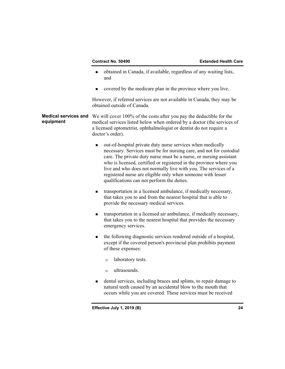- obtained in Canada, if available, regardless of any waiting lists, and
- covered by the medicare plan in the province where you live.

However, if referred services are not available in Canada, they may be obtained outside of Canada.

**Medical services and** We will cover 100% of the costs after you pay the deductible for the **equipment** medical services listed below when ordered by a doctor (the services medical services listed below when ordered by a doctor (the services of a licensed optometrist, ophthalmologist or dentist do not require a doctor's order).

- out-of-hospital private duty nurse services when medically necessary. Services must be for nursing care, and not for custodial care. The private duty nurse must be a nurse, or nursing assistant who is licensed, certified or registered in the province where you live and who does not normally live with you. The services of a registered nurse are eligible only when someone with lesser qualifications can not perform the duties.
- transportation in a licensed ambulance, if medically necessary, that takes you to and from the nearest hospital that is able to provide the necessary medical services.
- transportation in a licensed air ambulance, if medically necessary, that takes you to the nearest hospital that provides the necessary emergency services.
- the following diagnostic services rendered outside of a hospital, except if the covered person's provincial plan prohibits payment of these expenses:
	- a laboratory tests.
	- $\Box$  ultrasounds.
- dental services, including braces and splints, to repair damage to natural teeth caused by an accidental blow to the mouth that occurs while you are covered. These services must be received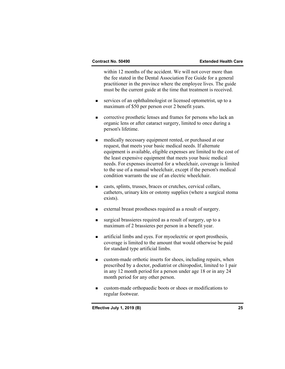within 12 months of the accident. We will not cover more than the fee stated in the Dental Association Fee Guide for a general practitioner in the province where the employee lives. The guide must be the current guide at the time that treatment is received.

- services of an ophthalmologist or licensed optometrist, up to a maximum of \$50 per person over 2 benefit years.
- **EXECUTE:** corrective prosthetic lenses and frames for persons who lack an organic lens or after cataract surgery, limited to once during a person's lifetime.
- medically necessary equipment rented, or purchased at our request, that meets your basic medical needs. If alternate equipment is available, eligible expenses are limited to the cost of the least expensive equipment that meets your basic medical needs. For expenses incurred for a wheelchair, coverage is limited to the use of a manual wheelchair, except if the person's medical condition warrants the use of an electric wheelchair.
- casts, splints, trusses, braces or crutches, cervical collars, catheters, urinary kits or ostomy supplies (where a surgical stoma exists).
- external breast prostheses required as a result of surgery.
- surgical brassieres required as a result of surgery, up to a maximum of 2 brassieres per person in a benefit year.
- artificial limbs and eyes. For myoelectric or sport prosthesis, coverage is limited to the amount that would otherwise be paid for standard type artificial limbs.
- custom-made orthotic inserts for shoes, including repairs, when prescribed by a doctor, podiatrist or chiropodist, limited to 1 pair in any 12 month period for a person under age 18 or in any 24 month period for any other person.
- custom-made orthopaedic boots or shoes or modifications to regular footwear.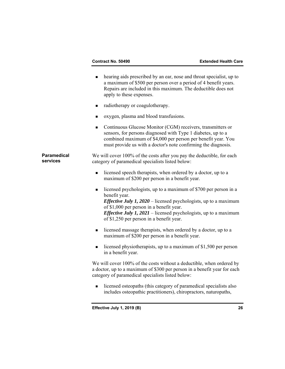|                                | hearing aids prescribed by an ear, nose and throat specialist, up to<br>$\blacksquare$<br>a maximum of \$500 per person over a period of 4 benefit years.<br>Repairs are included in this maximum. The deductible does not<br>apply to these expenses.                                                                                            |
|--------------------------------|---------------------------------------------------------------------------------------------------------------------------------------------------------------------------------------------------------------------------------------------------------------------------------------------------------------------------------------------------|
|                                | radiotherapy or coagulotherapy.<br>■                                                                                                                                                                                                                                                                                                              |
|                                | oxygen, plasma and blood transfusions.<br>$\blacksquare$                                                                                                                                                                                                                                                                                          |
|                                | Continuous Glucose Monitor (CGM) receivers, transmitters or<br>$\blacksquare$<br>sensors, for persons diagnosed with Type 1 diabetes, up to a<br>combined maximum of \$4,000 per person per benefit year. You<br>must provide us with a doctor's note confirming the diagnosis.                                                                   |
| <b>Paramedical</b><br>services | We will cover 100% of the costs after you pay the deductible, for each<br>category of paramedical specialists listed below:                                                                                                                                                                                                                       |
|                                | licensed speech therapists, when ordered by a doctor, up to a<br>$\blacksquare$<br>maximum of \$200 per person in a benefit year.                                                                                                                                                                                                                 |
|                                | licensed psychologists, up to a maximum of \$700 per person in a<br>$\blacksquare$<br>benefit year.<br><i>Effective July 1, 2020</i> – licensed psychologists, up to a maximum<br>of \$1,000 per person in a benefit year.<br><i>Effective July 1, 2021</i> – licensed psychologists, up to a maximum<br>of \$1,250 per person in a benefit year. |
|                                | licensed massage therapists, when ordered by a doctor, up to a<br>$\blacksquare$<br>maximum of \$200 per person in a benefit year.                                                                                                                                                                                                                |
|                                | licensed physiotherapists, up to a maximum of \$1,500 per person<br>$\blacksquare$<br>in a benefit year.                                                                                                                                                                                                                                          |
|                                | We will cover 100% of the costs without a deductible, when ordered by<br>a doctor, up to a maximum of \$300 per person in a benefit year for each<br>category of paramedical specialists listed below:                                                                                                                                            |
|                                | licensed osteopaths (this category of paramedical specialists also<br>$\blacksquare$<br>includes osteopathic practitioners), chiropractors, naturopaths,                                                                                                                                                                                          |
|                                |                                                                                                                                                                                                                                                                                                                                                   |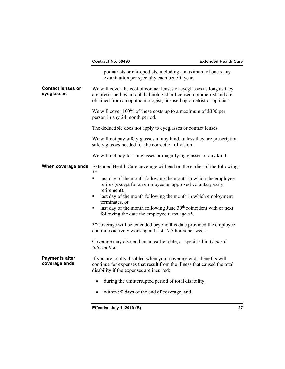|                                        | Contract No. 50490                                                                                                                                                                                                    | <b>Extended Health Care</b> |
|----------------------------------------|-----------------------------------------------------------------------------------------------------------------------------------------------------------------------------------------------------------------------|-----------------------------|
|                                        | podiatrists or chiropodists, including a maximum of one x-ray<br>examination per specialty each benefit year.                                                                                                         |                             |
| <b>Contact lenses or</b><br>eyeglasses | We will cover the cost of contact lenses or eyeglasses as long as they<br>are prescribed by an ophthalmologist or licensed optometrist and are<br>obtained from an ophthalmologist, licensed optometrist or optician. |                             |
|                                        | We will cover 100% of these costs up to a maximum of \$300 per<br>person in any 24 month period.                                                                                                                      |                             |
|                                        | The deductible does not apply to eyeglasses or contact lenses.                                                                                                                                                        |                             |
|                                        | We will not pay safety glasses of any kind, unless they are prescription<br>safety glasses needed for the correction of vision.                                                                                       |                             |
|                                        | We will not pay for sunglasses or magnifying glasses of any kind.                                                                                                                                                     |                             |
|                                        | <b>When coverage ends</b> Extended Health Care coverage will end on the earlier of the following:<br>$***$                                                                                                            |                             |
|                                        | last day of the month following the month in which the employee<br>٠<br>retires (except for an employee on approved voluntary early<br>retirement),                                                                   |                             |
|                                        | last day of the month following the month in which employment                                                                                                                                                         |                             |
|                                        | terminates, or<br>last day of the month following June 30 <sup>th</sup> coincident with or next<br>٠<br>following the date the employee turns age 65.                                                                 |                             |
|                                        | **Coverage will be extended beyond this date provided the employee<br>continues actively working at least 17.5 hours per week.                                                                                        |                             |
|                                        | Coverage may also end on an earlier date, as specified in <i>General</i><br>Information.                                                                                                                              |                             |
| <b>Payments after</b><br>coverage ends | If you are totally disabled when your coverage ends, benefits will<br>continue for expenses that result from the illness that caused the total<br>disability if the expenses are incurred:                            |                             |
|                                        | during the uninterrupted period of total disability,                                                                                                                                                                  |                             |
|                                        | within 90 days of the end of coverage, and                                                                                                                                                                            |                             |
|                                        | Effective July 1, 2019 (B)                                                                                                                                                                                            | 27                          |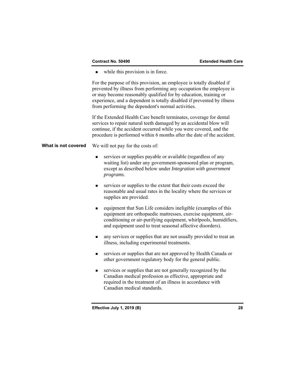while this provision is in force.

For the purpose of this provision, an employee is totally disabled if prevented by illness from performing any occupation the employee is or may become reasonably qualified for by education, training or experience, and a dependent is totally disabled if prevented by illness from performing the dependent's normal activities.

If the Extended Health Care benefit terminates, coverage for dental services to repair natural teeth damaged by an accidental blow will continue, if the accident occurred while you were covered, and the procedure is performed within 6 months after the date of the accident.

## **What is not covered** We will not pay for the costs of:

- services or supplies payable or available (regardless of any waiting list) under any government-sponsored plan or program, except as described below under *Integration with government programs*.
- services or supplies to the extent that their costs exceed the reasonable and usual rates in the locality where the services or supplies are provided.
- equipment that Sun Life considers ineligible (examples of this equipment are orthopaedic mattresses, exercise equipment, airconditioning or air-purifying equipment, whirlpools, humidifiers, and equipment used to treat seasonal affective disorders).
- any services or supplies that are not usually provided to treat an illness, including experimental treatments.
- services or supplies that are not approved by Health Canada or other government regulatory body for the general public.
- services or supplies that are not generally recognized by the Canadian medical profession as effective, appropriate and required in the treatment of an illness in accordance with Canadian medical standards.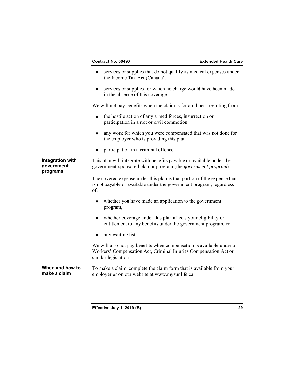- services or supplies that do not qualify as medical expenses under the Income Tax Act (Canada).
- services or supplies for which no charge would have been made in the absence of this coverage.

We will not pay benefits when the claim is for an illness resulting from:

- the hostile action of any armed forces, insurrection or participation in a riot or civil commotion.
- any work for which you were compensated that was not done for the employer who is providing this plan.
- **n** participation in a criminal offence.

## **Integration with government programs**

This plan will integrate with benefits payable or available under the government-sponsored plan or program (the *government program*).

The covered expense under this plan is that portion of the expense that is not payable or available under the government program, regardless of:

- whether you have made an application to the government program,
- whether coverage under this plan affects your eligibility or entitlement to any benefits under the government program, or
- any waiting lists.

We will also not pay benefits when compensation is available under a Workers' Compensation Act, Criminal Injuries Compensation Act or similar legislation.

employer or on our website at<www.mysunlife.ca>. **When and how to make a claim**  To make a claim, complete the claim form that is available from your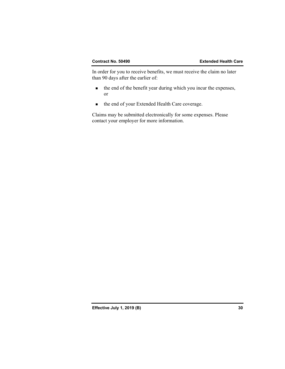In order for you to receive benefits, we must receive the claim no later than 90 days after the earlier of:

- the end of the benefit year during which you incur the expenses, or
- the end of your Extended Health Care coverage.

Claims may be submitted electronically for some expenses. Please contact your employer for more information.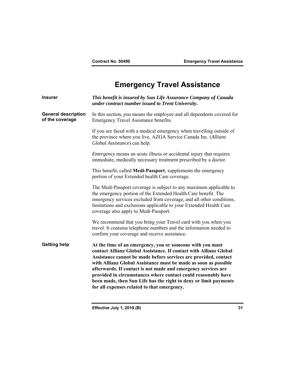# **Emergency Travel Assistance**

| <b>Insurer</b>                                | This benefit is insured by Sun Life Assurance Company of Canada<br>under contract number issued to Trent University.                                                                                                                                                                                                                                                                                                                                                                                                      |
|-----------------------------------------------|---------------------------------------------------------------------------------------------------------------------------------------------------------------------------------------------------------------------------------------------------------------------------------------------------------------------------------------------------------------------------------------------------------------------------------------------------------------------------------------------------------------------------|
| <b>General description</b><br>of the coverage | In this section, you means the employee and all dependents covered for<br>Emergency Travel Assistance benefits.                                                                                                                                                                                                                                                                                                                                                                                                           |
|                                               | If you are faced with a medical emergency when travelling outside of<br>the province where you live, AZGA Service Canada Inc. (Allianz<br>Global Assistance) can help.                                                                                                                                                                                                                                                                                                                                                    |
|                                               | <i>Emergency</i> means an acute illness or accidental injury that requires<br>immediate, medically necessary treatment prescribed by a doctor.                                                                                                                                                                                                                                                                                                                                                                            |
|                                               | This benefit, called Medi-Passport, supplements the emergency<br>portion of your Extended health Care coverage.                                                                                                                                                                                                                                                                                                                                                                                                           |
|                                               | The Medi-Passport coverage is subject to any maximum applicable to<br>the emergency portion of the Extended Health Care benefit. The<br>emergency services excluded from coverage, and all other conditions,<br>limitations and exclusions applicable to your Extended Health Care<br>coverage also apply to Medi-Passport.                                                                                                                                                                                               |
|                                               | We recommend that you bring your Travel card with you when you<br>travel. It contains telephone numbers and the information needed to<br>confirm your coverage and receive assistance.                                                                                                                                                                                                                                                                                                                                    |
| <b>Getting help</b>                           | At the time of an emergency, you or someone with you must<br>contact Allianz Global Assistance. If contact with Allianz Global<br>Assistance cannot be made before services are provided, contact<br>with Allianz Global Assistance must be made as soon as possible<br>afterwards. If contact is not made and emergency services are<br>provided in circumstances where contact could reasonably have<br>been made, then Sun Life has the right to deny or limit payments<br>for all expenses related to that emergency. |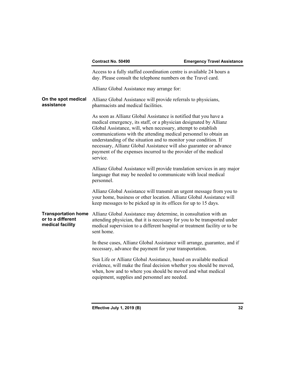|                                                                     | Contract No. 50490                                                                                                                                                                                                                                                                                                                                                                                                                                                                                    | <b>Emergency Travel Assistance</b> |
|---------------------------------------------------------------------|-------------------------------------------------------------------------------------------------------------------------------------------------------------------------------------------------------------------------------------------------------------------------------------------------------------------------------------------------------------------------------------------------------------------------------------------------------------------------------------------------------|------------------------------------|
|                                                                     | Access to a fully staffed coordination centre is available 24 hours a<br>day. Please consult the telephone numbers on the Travel card.                                                                                                                                                                                                                                                                                                                                                                |                                    |
|                                                                     | Allianz Global Assistance may arrange for:                                                                                                                                                                                                                                                                                                                                                                                                                                                            |                                    |
| On the spot medical<br>assistance                                   | Allianz Global Assistance will provide referrals to physicians,<br>pharmacists and medical facilities.                                                                                                                                                                                                                                                                                                                                                                                                |                                    |
|                                                                     | As soon as Allianz Global Assistance is notified that you have a<br>medical emergency, its staff, or a physician designated by Allianz<br>Global Assistance, will, when necessary, attempt to establish<br>communications with the attending medical personnel to obtain an<br>understanding of the situation and to monitor your condition. If<br>necessary, Allianz Global Assistance will also guarantee or advance<br>payment of the expenses incurred to the provider of the medical<br>service. |                                    |
|                                                                     | Allianz Global Assistance will provide translation services in any major<br>language that may be needed to communicate with local medical<br>personnel.                                                                                                                                                                                                                                                                                                                                               |                                    |
|                                                                     | Allianz Global Assistance will transmit an urgent message from you to<br>your home, business or other location. Allianz Global Assistance will<br>keep messages to be picked up in its offices for up to 15 days.                                                                                                                                                                                                                                                                                     |                                    |
| <b>Transportation home</b><br>or to a different<br>medical facility | Allianz Global Assistance may determine, in consultation with an<br>attending physician, that it is necessary for you to be transported under<br>medical supervision to a different hospital or treatment facility or to be<br>sent home.                                                                                                                                                                                                                                                             |                                    |
|                                                                     | In these cases, Allianz Global Assistance will arrange, guarantee, and if<br>necessary, advance the payment for your transportation.                                                                                                                                                                                                                                                                                                                                                                  |                                    |
|                                                                     | Sun Life or Allianz Global Assistance, based on available medical<br>evidence, will make the final decision whether you should be moved,<br>when, how and to where you should be moved and what medical<br>equipment, supplies and personnel are needed.                                                                                                                                                                                                                                              |                                    |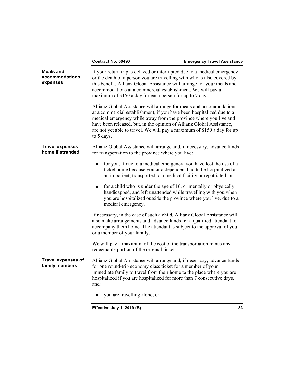|                                                | Contract No. 50490                                                                                                                                                                                                                                                                                                                                                                  | <b>Emergency Travel Assistance</b> |
|------------------------------------------------|-------------------------------------------------------------------------------------------------------------------------------------------------------------------------------------------------------------------------------------------------------------------------------------------------------------------------------------------------------------------------------------|------------------------------------|
| <b>Meals and</b><br>accommodations<br>expenses | If your return trip is delayed or interrupted due to a medical emergency<br>or the death of a person you are travelling with who is also covered by<br>this benefit, Allianz Global Assistance will arrange for your meals and<br>accommodations at a commercial establishment. We will pay a<br>maximum of \$150 a day for each person for up to 7 days.                           |                                    |
|                                                | Allianz Global Assistance will arrange for meals and accommodations<br>at a commercial establishment, if you have been hospitalized due to a<br>medical emergency while away from the province where you live and<br>have been released, but, in the opinion of Allianz Global Assistance,<br>are not yet able to travel. We will pay a maximum of \$150 a day for up<br>to 5 days. |                                    |
| <b>Travel expenses</b><br>home if stranded     | Allianz Global Assistance will arrange and, if necessary, advance funds<br>for transportation to the province where you live:                                                                                                                                                                                                                                                       |                                    |
|                                                | for you, if due to a medical emergency, you have lost the use of a<br>$\blacksquare$<br>ticket home because you or a dependent had to be hospitalized as<br>an in-patient, transported to a medical facility or repatriated; or                                                                                                                                                     |                                    |
|                                                | for a child who is under the age of 16, or mentally or physically<br>٠<br>handicapped, and left unattended while travelling with you when<br>you are hospitalized outside the province where you live, due to a<br>medical emergency.                                                                                                                                               |                                    |
|                                                | If necessary, in the case of such a child, Allianz Global Assistance will<br>also make arrangements and advance funds for a qualified attendant to<br>accompany them home. The attendant is subject to the approval of you<br>or a member of your family.                                                                                                                           |                                    |
|                                                | We will pay a maximum of the cost of the transportation minus any<br>redeemable portion of the original ticket.                                                                                                                                                                                                                                                                     |                                    |
| <b>Travel expenses of</b><br>family members    | Allianz Global Assistance will arrange and, if necessary, advance funds<br>for one round-trip economy class ticket for a member of your<br>immediate family to travel from their home to the place where you are<br>hospitalized if you are hospitalized for more than 7 consecutive days,<br>and:                                                                                  |                                    |
|                                                | you are travelling alone, or<br>$\blacksquare$                                                                                                                                                                                                                                                                                                                                      |                                    |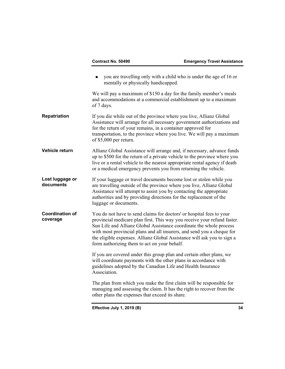|                                    | Contract No. 50490                                                                     | <b>Emergency Travel Assistance</b>                                                                                                                                                                                                                                                                                                                                           |
|------------------------------------|----------------------------------------------------------------------------------------|------------------------------------------------------------------------------------------------------------------------------------------------------------------------------------------------------------------------------------------------------------------------------------------------------------------------------------------------------------------------------|
|                                    | mentally or physically handicapped.                                                    | you are travelling only with a child who is under the age of 16 or                                                                                                                                                                                                                                                                                                           |
|                                    | of 7 days.                                                                             | We will pay a maximum of \$150 a day for the family member's meals<br>and accommodations at a commercial establishment up to a maximum                                                                                                                                                                                                                                       |
| Repatriation                       | for the return of your remains, in a container approved for<br>of $$5,000$ per return. | If you die while out of the province where you live, Allianz Global<br>Assistance will arrange for all necessary government authorizations and<br>transportation, to the province where you live. We will pay a maximum                                                                                                                                                      |
| Vehicle return                     |                                                                                        | Allianz Global Assistance will arrange and, if necessary, advance funds<br>up to \$500 for the return of a private vehicle to the province where you<br>live or a rental vehicle to the nearest appropriate rental agency if death<br>or a medical emergency prevents you from returning the vehicle.                                                                        |
| Lost luggage or<br>documents       | luggage or documents.                                                                  | If your luggage or travel documents become lost or stolen while you<br>are travelling outside of the province where you live, Allianz Global<br>Assistance will attempt to assist you by contacting the appropriate<br>authorities and by providing directions for the replacement of the                                                                                    |
| <b>Coordination of</b><br>coverage | form authorizing them to act on your behalf.                                           | You do not have to send claims for doctors' or hospital fees to your<br>provincial medicare plan first. This way you receive your refund faster.<br>Sun Life and Allianz Global Assistance coordinate the whole process<br>with most provincial plans and all insurers, and send you a cheque for<br>the eligible expenses. Allianz Global Assistance will ask you to sign a |
|                                    | guidelines adopted by the Canadian Life and Health Insurance<br>Association.           | If you are covered under this group plan and certain other plans, we<br>will coordinate payments with the other plans in accordance with                                                                                                                                                                                                                                     |
|                                    | other plans the expenses that exceed its share.                                        | The plan from which you make the first claim will be responsible for<br>managing and assessing the claim. It has the right to recover from the                                                                                                                                                                                                                               |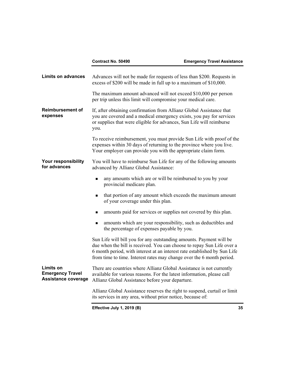| <b>Limits on advances</b>                                          | Advances will not be made for requests of less than \$200. Requests in<br>excess of \$200 will be made in full up to a maximum of \$10,000.                                                                                                                                                         |    |
|--------------------------------------------------------------------|-----------------------------------------------------------------------------------------------------------------------------------------------------------------------------------------------------------------------------------------------------------------------------------------------------|----|
|                                                                    | The maximum amount advanced will not exceed \$10,000 per person<br>per trip unless this limit will compromise your medical care.                                                                                                                                                                    |    |
| <b>Reimbursement of</b><br>expenses                                | If, after obtaining confirmation from Allianz Global Assistance that<br>you are covered and a medical emergency exists, you pay for services<br>or supplies that were eligible for advances, Sun Life will reimburse<br>you.                                                                        |    |
|                                                                    | To receive reimbursement, you must provide Sun Life with proof of the<br>expenses within 30 days of returning to the province where you live.<br>Your employer can provide you with the appropriate claim form.                                                                                     |    |
| Your responsibility<br>for advances                                | You will have to reimburse Sun Life for any of the following amounts<br>advanced by Allianz Global Assistance:                                                                                                                                                                                      |    |
|                                                                    | any amounts which are or will be reimbursed to you by your<br>п<br>provincial medicare plan.                                                                                                                                                                                                        |    |
|                                                                    | that portion of any amount which exceeds the maximum amount<br>■<br>of your coverage under this plan.                                                                                                                                                                                               |    |
|                                                                    | amounts paid for services or supplies not covered by this plan.<br>■                                                                                                                                                                                                                                |    |
|                                                                    | amounts which are your responsibility, such as deductibles and<br>п<br>the percentage of expenses payable by you.                                                                                                                                                                                   |    |
|                                                                    | Sun Life will bill you for any outstanding amounts. Payment will be<br>due when the bill is received. You can choose to repay Sun Life over a<br>6 month period, with interest at an interest rate established by Sun Life<br>from time to time. Interest rates may change over the 6 month period. |    |
| Limits on<br><b>Emergency Travel</b><br><b>Assistance coverage</b> | There are countries where Allianz Global Assistance is not currently<br>available for various reasons. For the latest information, please call<br>Allianz Global Assistance before your departure.                                                                                                  |    |
|                                                                    | Allianz Global Assistance reserves the right to suspend, curtail or limit<br>its services in any area, without prior notice, because of:                                                                                                                                                            |    |
|                                                                    | Effective July 1, 2019 (B)                                                                                                                                                                                                                                                                          | 35 |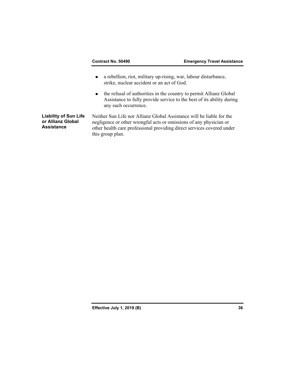- a rebellion, riot, military up-rising, war, labour disturbance, strike, nuclear accident or an act of God.
- the refusal of authorities in the country to permit Allianz Global Assistance to fully provide service to the best of its ability during any such occurrence.

**Liability of Sun Life or Allianz Global Assistance** 

Neither Sun Life nor Allianz Global Assistance will be liable for the negligence or other wrongful acts or omissions of any physician or other health care professional providing direct services covered under this group plan.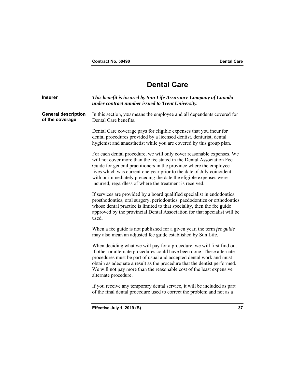# **Dental Care**

| <b>Insurer</b>                                | This benefit is insured by Sun Life Assurance Company of Canada<br>under contract number issued to Trent University.                                                                                                                                                                                                                                                                                                           |    |
|-----------------------------------------------|--------------------------------------------------------------------------------------------------------------------------------------------------------------------------------------------------------------------------------------------------------------------------------------------------------------------------------------------------------------------------------------------------------------------------------|----|
| <b>General description</b><br>of the coverage | In this section, you means the employee and all dependents covered for<br>Dental Care benefits.                                                                                                                                                                                                                                                                                                                                |    |
|                                               | Dental Care coverage pays for eligible expenses that you incur for<br>dental procedures provided by a licensed dentist, denturist, dental<br>hygienist and anaesthetist while you are covered by this group plan.                                                                                                                                                                                                              |    |
|                                               | For each dental procedure, we will only cover reasonable expenses. We<br>will not cover more than the fee stated in the Dental Association Fee<br>Guide for general practitioners in the province where the employee<br>lives which was current one year prior to the date of July coincident<br>with or immediately preceding the date the eligible expenses were<br>incurred, regardless of where the treatment is received. |    |
|                                               | If services are provided by a board qualified specialist in endodontics,<br>prosthodontics, oral surgery, periodontics, paedodontics or orthodontics<br>whose dental practice is limited to that speciality, then the fee guide<br>approved by the provincial Dental Association for that specialist will be<br>used.                                                                                                          |    |
|                                               | When a fee guide is not published for a given year, the term fee guide<br>may also mean an adjusted fee guide established by Sun Life.                                                                                                                                                                                                                                                                                         |    |
|                                               | When deciding what we will pay for a procedure, we will first find out<br>if other or alternate procedures could have been done. These alternate<br>procedures must be part of usual and accepted dental work and must<br>obtain as adequate a result as the procedure that the dentist performed.<br>We will not pay more than the reasonable cost of the least expensive<br>alternate procedure.                             |    |
|                                               | If you receive any temporary dental service, it will be included as part<br>of the final dental procedure used to correct the problem and not as a                                                                                                                                                                                                                                                                             |    |
|                                               | Effective July 1, 2019 (B)                                                                                                                                                                                                                                                                                                                                                                                                     | 37 |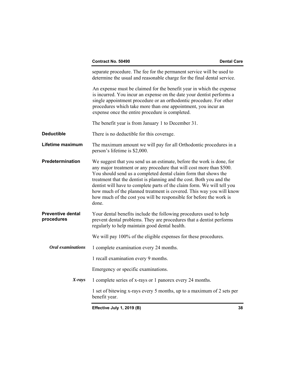|                                        | separate procedure. The fee for the permanent service will be used to<br>determine the usual and reasonable charge for the final dental service.                                                                                                                                                                                                                                                                                                                                                                             |
|----------------------------------------|------------------------------------------------------------------------------------------------------------------------------------------------------------------------------------------------------------------------------------------------------------------------------------------------------------------------------------------------------------------------------------------------------------------------------------------------------------------------------------------------------------------------------|
|                                        | An expense must be claimed for the benefit year in which the expense<br>is incurred. You incur an expense on the date your dentist performs a<br>single appointment procedure or an orthodontic procedure. For other<br>procedures which take more than one appointment, you incur an<br>expense once the entire procedure is completed.                                                                                                                                                                                     |
|                                        | The benefit year is from January 1 to December 31.                                                                                                                                                                                                                                                                                                                                                                                                                                                                           |
| <b>Deductible</b>                      | There is no deductible for this coverage.                                                                                                                                                                                                                                                                                                                                                                                                                                                                                    |
| Lifetime maximum                       | The maximum amount we will pay for all Orthodontic procedures in a<br>person's lifetime is \$2,000.                                                                                                                                                                                                                                                                                                                                                                                                                          |
| Predetermination                       | We suggest that you send us an estimate, before the work is done, for<br>any major treatment or any procedure that will cost more than \$500.<br>You should send us a completed dental claim form that shows the<br>treatment that the dentist is planning and the cost. Both you and the<br>dentist will have to complete parts of the claim form. We will tell you<br>how much of the planned treatment is covered. This way you will know<br>how much of the cost you will be responsible for before the work is<br>done. |
| <b>Preventive dental</b><br>procedures | Your dental benefits include the following procedures used to help<br>prevent dental problems. They are procedures that a dentist performs<br>regularly to help maintain good dental health.                                                                                                                                                                                                                                                                                                                                 |
|                                        | We will pay 100% of the eligible expenses for these procedures.                                                                                                                                                                                                                                                                                                                                                                                                                                                              |
| <b>Oral</b> examinations               | 1 complete examination every 24 months.                                                                                                                                                                                                                                                                                                                                                                                                                                                                                      |
|                                        | 1 recall examination every 9 months.                                                                                                                                                                                                                                                                                                                                                                                                                                                                                         |
|                                        | Emergency or specific examinations.                                                                                                                                                                                                                                                                                                                                                                                                                                                                                          |
| $X-rays$                               | 1 complete series of x-rays or 1 panorex every 24 months.                                                                                                                                                                                                                                                                                                                                                                                                                                                                    |
|                                        | 1 set of bitewing x-rays every 5 months, up to a maximum of 2 sets per<br>benefit year.                                                                                                                                                                                                                                                                                                                                                                                                                                      |
|                                        |                                                                                                                                                                                                                                                                                                                                                                                                                                                                                                                              |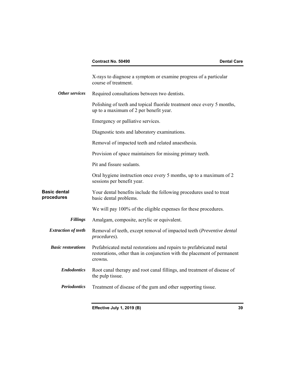| X-rays to diagnose a symptom or examine progress of a particular<br>course of treatment.                                                                  |
|-----------------------------------------------------------------------------------------------------------------------------------------------------------|
| Required consultations between two dentists.                                                                                                              |
| Polishing of teeth and topical fluoride treatment once every 5 months,<br>up to a maximum of 2 per benefit year.                                          |
| Emergency or palliative services.                                                                                                                         |
| Diagnostic tests and laboratory examinations.                                                                                                             |
| Removal of impacted teeth and related anaesthesia.                                                                                                        |
| Provision of space maintainers for missing primary teeth.                                                                                                 |
| Pit and fissure sealants.                                                                                                                                 |
| Oral hygiene instruction once every 5 months, up to a maximum of 2<br>sessions per benefit year.                                                          |
| Your dental benefits include the following procedures used to treat<br>basic dental problems.                                                             |
| We will pay 100% of the eligible expenses for these procedures.                                                                                           |
| Amalgam, composite, acrylic or equivalent.                                                                                                                |
| Removal of teeth, except removal of impacted teeth (Preventive dental<br>procedures).                                                                     |
| Prefabricated metal restorations and repairs to prefabricated metal<br>restorations, other than in conjunction with the placement of permanent<br>crowns. |
| Root canal therapy and root canal fillings, and treatment of disease of<br>the pulp tissue.                                                               |
| Treatment of disease of the gum and other supporting tissue.                                                                                              |
|                                                                                                                                                           |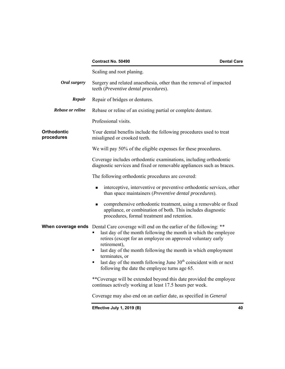|                                  | Contract No. 50490<br><b>Dental Care</b>                                                                                                                                                                                                                                                                                                                                                                                                                           |    |
|----------------------------------|--------------------------------------------------------------------------------------------------------------------------------------------------------------------------------------------------------------------------------------------------------------------------------------------------------------------------------------------------------------------------------------------------------------------------------------------------------------------|----|
|                                  | Scaling and root planing.                                                                                                                                                                                                                                                                                                                                                                                                                                          |    |
| Oral surgery                     | Surgery and related anaesthesia, other than the removal of impacted<br>teeth (Preventive dental procedures).                                                                                                                                                                                                                                                                                                                                                       |    |
| Repair                           | Repair of bridges or dentures.                                                                                                                                                                                                                                                                                                                                                                                                                                     |    |
| Rebase or reline                 | Rebase or reline of an existing partial or complete denture.                                                                                                                                                                                                                                                                                                                                                                                                       |    |
|                                  | Professional visits.                                                                                                                                                                                                                                                                                                                                                                                                                                               |    |
| <b>Orthodontic</b><br>procedures | Your dental benefits include the following procedures used to treat<br>misaligned or crooked teeth.                                                                                                                                                                                                                                                                                                                                                                |    |
|                                  | We will pay 50% of the eligible expenses for these procedures.                                                                                                                                                                                                                                                                                                                                                                                                     |    |
|                                  | Coverage includes orthodontic examinations, including orthodontic<br>diagnostic services and fixed or removable appliances such as braces.                                                                                                                                                                                                                                                                                                                         |    |
|                                  | The following orthodontic procedures are covered:                                                                                                                                                                                                                                                                                                                                                                                                                  |    |
|                                  | interceptive, interventive or preventive orthodontic services, other<br>٠<br>than space maintainers (Preventive dental procedures).                                                                                                                                                                                                                                                                                                                                |    |
|                                  | comprehensive orthodontic treatment, using a removable or fixed<br>٠<br>appliance, or combination of both. This includes diagnostic<br>procedures, formal treatment and retention.                                                                                                                                                                                                                                                                                 |    |
|                                  | <b>When coverage ends</b> Dental Care coverage will end on the earlier of the following: **<br>last day of the month following the month in which the employee<br>retires (except for an employee on approved voluntary early<br>retirement),<br>last day of the month following the month in which employment<br>٠<br>terminates, or<br>last day of the month following June $30th$ coincident with or next<br>٠<br>following the date the employee turns age 65. |    |
|                                  | **Coverage will be extended beyond this date provided the employee<br>continues actively working at least 17.5 hours per week.                                                                                                                                                                                                                                                                                                                                     |    |
|                                  | Coverage may also end on an earlier date, as specified in <i>General</i>                                                                                                                                                                                                                                                                                                                                                                                           |    |
|                                  | Effective July 1, 2019 (B)                                                                                                                                                                                                                                                                                                                                                                                                                                         | 40 |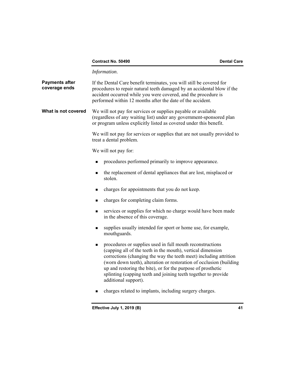## **Contract No. 50490 Dental Care 2018**

*Information*.

| <b>Payments after</b><br>coverage ends | If the Dental Care benefit terminates, you will still be covered for<br>procedures to repair natural teeth damaged by an accidental blow if the<br>accident occurred while you were covered, and the procedure is<br>performed within 12 months after the date of the accident.                                                                                                                                                      |
|----------------------------------------|--------------------------------------------------------------------------------------------------------------------------------------------------------------------------------------------------------------------------------------------------------------------------------------------------------------------------------------------------------------------------------------------------------------------------------------|
| What is not covered                    | We will not pay for services or supplies payable or available<br>(regardless of any waiting list) under any government-sponsored plan<br>or program unless explicitly listed as covered under this benefit.                                                                                                                                                                                                                          |
|                                        | We will not pay for services or supplies that are not usually provided to<br>treat a dental problem.                                                                                                                                                                                                                                                                                                                                 |
|                                        | We will not pay for:                                                                                                                                                                                                                                                                                                                                                                                                                 |
|                                        | procedures performed primarily to improve appearance.                                                                                                                                                                                                                                                                                                                                                                                |
|                                        | the replacement of dental appliances that are lost, misplaced or<br>$\blacksquare$<br>stolen.                                                                                                                                                                                                                                                                                                                                        |
|                                        | charges for appointments that you do not keep.<br>٠                                                                                                                                                                                                                                                                                                                                                                                  |
|                                        | charges for completing claim forms.<br>■                                                                                                                                                                                                                                                                                                                                                                                             |
|                                        | services or supplies for which no charge would have been made<br>п<br>in the absence of this coverage.                                                                                                                                                                                                                                                                                                                               |
|                                        | supplies usually intended for sport or home use, for example,<br>■<br>mouthguards.                                                                                                                                                                                                                                                                                                                                                   |
|                                        | procedures or supplies used in full mouth reconstructions<br>■<br>(capping all of the teeth in the mouth), vertical dimension<br>corrections (changing the way the teeth meet) including attrition<br>(worn down teeth), alteration or restoration of occlusion (building)<br>up and restoring the bite), or for the purpose of prosthetic<br>splinting (capping teeth and joining teeth together to provide<br>additional support). |
|                                        | charges related to implants, including surgery charges.                                                                                                                                                                                                                                                                                                                                                                              |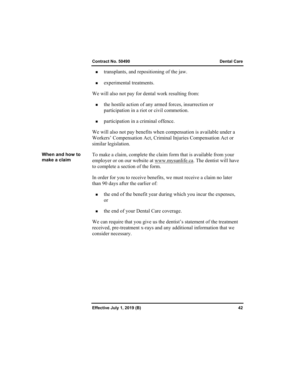## **Contract No. 50490 Dental Care**

- transplants, and repositioning of the jaw.
- **EXPERIMENTE:** experimental treatments.

We will also not pay for dental work resulting from:

- the hostile action of any armed forces, insurrection or participation in a riot or civil commotion.
- **n** participation in a criminal offence.

We will also not pay benefits when compensation is available under a Workers' Compensation Act, Criminal Injuries Compensation Act or similar legislation.

## **When and how to** To make a claim, complete the claim form that is available from your **make a claim** employer or on our website at www. mysumlife ca. The dentist will have employer or on our website at<www.mysunlife.ca>. The dentist will have to complete a section of the form.

In order for you to receive benefits, we must receive a claim no later than 90 days after the earlier of:

- the end of the benefit year during which you incur the expenses, or
- $\blacksquare$  the end of your Dental Care coverage.

We can require that you give us the dentist's statement of the treatment received, pre-treatment x-rays and any additional information that we consider necessary.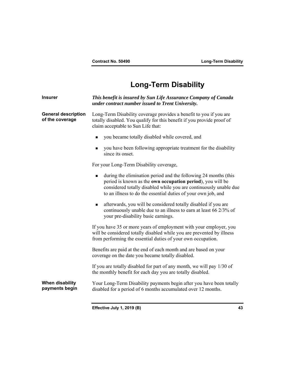# **Long-Term Disability**

| <b>Insurer</b>                                | This benefit is insured by Sun Life Assurance Company of Canada<br>under contract number issued to Trent University.                                                                                                                                                                  |
|-----------------------------------------------|---------------------------------------------------------------------------------------------------------------------------------------------------------------------------------------------------------------------------------------------------------------------------------------|
| <b>General description</b><br>of the coverage | Long-Term Disability coverage provides a benefit to you if you are<br>totally disabled. You qualify for this benefit if you provide proof of<br>claim acceptable to Sun Life that:                                                                                                    |
|                                               | you became totally disabled while covered, and<br>$\blacksquare$                                                                                                                                                                                                                      |
|                                               | you have been following appropriate treatment for the disability<br>since its onset.                                                                                                                                                                                                  |
|                                               | For your Long-Term Disability coverage,                                                                                                                                                                                                                                               |
|                                               | during the elimination period and the following 24 months (this<br>$\blacksquare$<br>period is known as the own occupation period), you will be<br>considered totally disabled while you are continuously unable due<br>to an illness to do the essential duties of your own job, and |
|                                               | afterwards, you will be considered totally disabled if you are<br>■<br>continuously unable due to an illness to earn at least 66 2/3% of<br>your pre-disability basic earnings.                                                                                                       |
|                                               | If you have 35 or more years of employment with your employer, you<br>will be considered totally disabled while you are prevented by illness<br>from performing the essential duties of your own occupation.                                                                          |
|                                               | Benefits are paid at the end of each month and are based on your<br>coverage on the date you became totally disabled.                                                                                                                                                                 |
|                                               | If you are totally disabled for part of any month, we will pay 1/30 of<br>the monthly benefit for each day you are totally disabled.                                                                                                                                                  |
| When disability<br>payments begin             | Your Long-Term Disability payments begin after you have been totally<br>disabled for a period of 6 months accumulated over 12 months.                                                                                                                                                 |
|                                               |                                                                                                                                                                                                                                                                                       |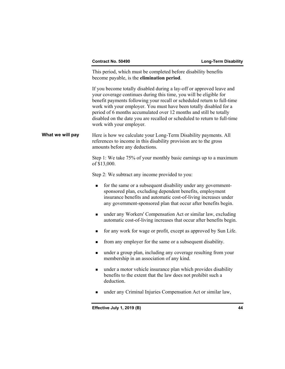This period, which must be completed before disability benefits become payable, is the **elimination period**.

If you become totally disabled during a lay-off or approved leave and your coverage continues during this time, you will be eligible for benefit payments following your recall or scheduled return to full-time work with your employer. You must have been totally disabled for a period of 6 months accumulated over 12 months and still be totally disabled on the date you are recalled or scheduled to return to full-time work with your employer.

**What we will pay** Here is how we calculate your Long-Term Disability payments. All references to income in this disability provision are to the gross amounts before any deductions.

> Step 1: We take 75% of your monthly basic earnings up to a maximum of \$13,000.

Step 2: We subtract any income provided to you:

- **for the same or a subsequent disability under any government**sponsored plan, excluding dependent benefits, employment insurance benefits and automatic cost-of-living increases under any government-sponsored plan that occur after benefits begin.
- under any Workers' Compensation Act or similar law, excluding automatic cost-of-living increases that occur after benefits begin.
- **for any work for wage or profit, except as approved by Sun Life.**
- from any employer for the same or a subsequent disability.
- under a group plan, including any coverage resulting from your membership in an association of any kind.
- under a motor vehicle insurance plan which provides disability benefits to the extent that the law does not prohibit such a deduction.
- under any Criminal Injuries Compensation Act or similar law,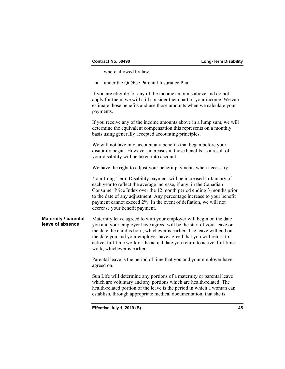where allowed by law.

■ under the Québec Parental Insurance Plan.

If you are eligible for any of the income amounts above and do not apply for them, we will still consider them part of your income. We can estimate those benefits and use those amounts when we calculate your payments.

If you receive any of the income amounts above in a lump sum, we will determine the equivalent compensation this represents on a monthly basis using generally accepted accounting principles.

We will not take into account any benefits that began before your disability began. However, increases in those benefits as a result of your disability will be taken into account.

We have the right to adjust your benefit payments when necessary.

Your Long-Term Disability payment will be increased in January of each year to reflect the average increase, if any, in the Canadian Consumer Price Index over the 12 month period ending 3 months prior to the date of any adjustment. Any percentage increase to your benefit payment cannot exceed 2%. In the event of deflation, we will not decrease your benefit payment.

## **Maternity / parental** Maternity leave agreed to with your employer will begin on the date<br>**Leave of absence** vou and your employer have agreed will be the start of your leave or **leave of absence** you and your employer have agreed will be the start of your leave or the date the child is born, whichever is earlier. The leave will end on the date you and your employer have agreed that you will return to active, full-time work or the actual date you return to active, full-time work, whichever is earlier.

Parental leave is the period of time that you and your employer have agreed on.

 which are voluntary and any portions which are health-related. The Sun Life will determine any portions of a maternity or parental leave health-related portion of the leave is the period in which a woman can establish, through appropriate medical documentation, that she is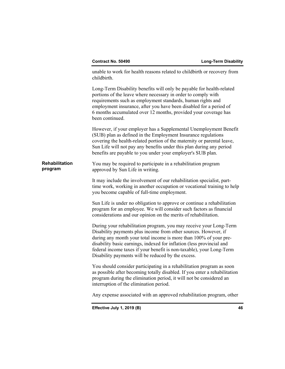|                                  | Effective July 1, 2019 (B)                                                                                                                                                                                                                                                                                                                                                                                        | 46 |
|----------------------------------|-------------------------------------------------------------------------------------------------------------------------------------------------------------------------------------------------------------------------------------------------------------------------------------------------------------------------------------------------------------------------------------------------------------------|----|
|                                  | Any expense associated with an approved rehabilitation program, other                                                                                                                                                                                                                                                                                                                                             |    |
|                                  | You should consider participating in a rehabilitation program as soon<br>as possible after becoming totally disabled. If you enter a rehabilitation<br>program during the elimination period, it will not be considered an<br>interruption of the elimination period.                                                                                                                                             |    |
|                                  | During your rehabilitation program, you may receive your Long-Term<br>Disability payments plus income from other sources. However, if<br>during any month your total income is more than 100% of your pre-<br>disability basic earnings, indexed for inflation (less provincial and<br>federal income taxes if your benefit is non-taxable), your Long-Term<br>Disability payments will be reduced by the excess. |    |
|                                  | Sun Life is under no obligation to approve or continue a rehabilitation<br>program for an employee. We will consider such factors as financial<br>considerations and our opinion on the merits of rehabilitation.                                                                                                                                                                                                 |    |
|                                  | It may include the involvement of our rehabilitation specialist, part-<br>time work, working in another occupation or vocational training to help<br>you become capable of full-time employment.                                                                                                                                                                                                                  |    |
| <b>Rehabilitation</b><br>program | You may be required to participate in a rehabilitation program<br>approved by Sun Life in writing.                                                                                                                                                                                                                                                                                                                |    |
|                                  | However, if your employer has a Supplemental Unemployment Benefit<br>(SUB) plan as defined in the Employment Insurance regulations<br>covering the health-related portion of the maternity or parental leave,<br>Sun Life will not pay any benefits under this plan during any period<br>benefits are payable to you under your employer's SUB plan.                                                              |    |
|                                  | Long-Term Disability benefits will only be payable for health-related<br>portions of the leave where necessary in order to comply with<br>requirements such as employment standards, human rights and<br>employment insurance, after you have been disabled for a period of<br>6 months accumulated over 12 months, provided your coverage has<br>been continued.                                                 |    |
|                                  | unable to work for health reasons related to childbirth or recovery from<br>childbirth.                                                                                                                                                                                                                                                                                                                           |    |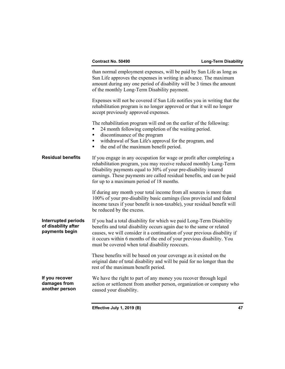We have the right to part of any money you recover through legal **Residual benefits Interrupted periods of disability after payments begin If you recover damages from another person**  than normal employment expenses, will be paid by Sun Life as long as Sun Life approves the expenses in writing in advance. The maximum amount during any one period of disability will be 3 times the amount of the monthly Long-Term Disability payment. Expenses will not be covered if Sun Life notifies you in writing that the rehabilitation program is no longer approved or that it will no longer accept previously approved expenses. The rehabilitation program will end on the earlier of the following: ■ 24 month following completion of the waiting period. ■ discontinuance of the program withdrawal of Sun Life's approval for the program, and • the end of the maximum benefit period. If you engage in any occupation for wage or profit after completing a rehabilitation program, you may receive reduced monthly Long-Term Disability payments equal to 30% of your pre-disability insured earnings. These payments are called residual benefits, and can be paid for up to a maximum period of 18 months. If during any month your total income from all sources is more than 100% of your pre-disability basic earnings (less provincial and federal income taxes if your benefit is non-taxable), your residual benefit will be reduced by the excess. If you had a total disability for which we paid Long-Term Disability benefits and total disability occurs again due to the same or related causes, we will consider it a continuation of your previous disability if it occurs within 6 months of the end of your previous disability. You must be covered when total disability reoccurs. These benefits will be based on your coverage as it existed on the original date of total disability and will be paid for no longer than the rest of the maximum benefit period. action or settlement from another person, organization or company who caused your disability.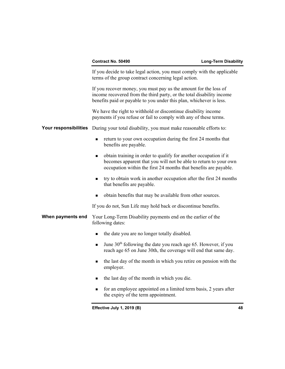If you decide to take legal action, you must comply with the applicable terms of the group contract concerning legal action. If you recover money, you must pay us the amount for the loss of income recovered from the third party, or the total disability income benefits paid or payable to you under this plan, whichever is less. We have the right to withhold or discontinue disability income payments if you refuse or fail to comply with any of these terms. **Your responsibilities** During your total disability, you must make reasonable efforts to: return to your own occupation during the first 24 months that benefits are payable. obtain training in order to qualify for another occupation if it becomes apparent that you will not be able to return to your own occupation within the first 24 months that benefits are payable.  $\blacksquare$  try to obtain work in another occupation after the first 24 months that benefits are payable. obtain benefits that may be available from other sources. If you do not, Sun Life may hold back or discontinue benefits. **When payments end** Your Long-Term Disability payments end on the earlier of the following dates: • the date you are no longer totally disabled. If June  $30<sup>th</sup>$  following the date you reach age 65. However, if you reach age 65 on June 30th, the coverage will end that same day. the last day of the month in which you retire on pension with the employer. the last day of the month in which you die. **for an employee appointed on a limited term basis, 2 years after** the expiry of the term appointment.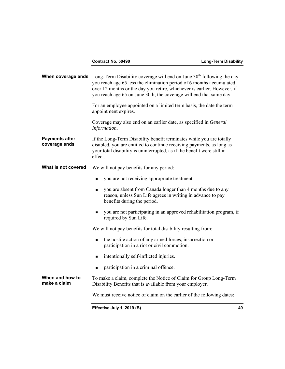|                                        | <b>When coverage ends</b> Long-Term Disability coverage will end on June $30th$ following the day<br>you reach age 65 less the elimination period of 6 months accumulated<br>over 12 months or the day you retire, whichever is earlier. However, if<br>you reach age 65 on June 30th, the coverage will end that same day. |
|----------------------------------------|-----------------------------------------------------------------------------------------------------------------------------------------------------------------------------------------------------------------------------------------------------------------------------------------------------------------------------|
|                                        | For an employee appointed on a limited term basis, the date the term<br>appointment expires.                                                                                                                                                                                                                                |
|                                        | Coverage may also end on an earlier date, as specified in <i>General</i><br>Information.                                                                                                                                                                                                                                    |
| <b>Payments after</b><br>coverage ends | If the Long-Term Disability benefit terminates while you are totally<br>disabled, you are entitled to continue receiving payments, as long as<br>your total disability is uninterrupted, as if the benefit were still in<br>effect.                                                                                         |
| What is not covered                    | We will not pay benefits for any period:                                                                                                                                                                                                                                                                                    |
|                                        | you are not receiving appropriate treatment.<br>٠                                                                                                                                                                                                                                                                           |
|                                        | you are absent from Canada longer than 4 months due to any<br>$\blacksquare$<br>reason, unless Sun Life agrees in writing in advance to pay<br>benefits during the period.                                                                                                                                                  |
|                                        | you are not participating in an approved rehabilitation program, if<br>$\blacksquare$<br>required by Sun Life.                                                                                                                                                                                                              |
|                                        | We will not pay benefits for total disability resulting from:                                                                                                                                                                                                                                                               |
|                                        | the hostile action of any armed forces, insurrection or<br>$\blacksquare$<br>participation in a riot or civil commotion.                                                                                                                                                                                                    |
|                                        | intentionally self-inflicted injuries.<br>$\blacksquare$                                                                                                                                                                                                                                                                    |
|                                        | participation in a criminal offence.<br>٠                                                                                                                                                                                                                                                                                   |
| When and how to<br>make a claim        | To make a claim, complete the Notice of Claim for Group Long-Term<br>Disability Benefits that is available from your employer.                                                                                                                                                                                              |
|                                        | We must receive notice of claim on the earlier of the following dates:                                                                                                                                                                                                                                                      |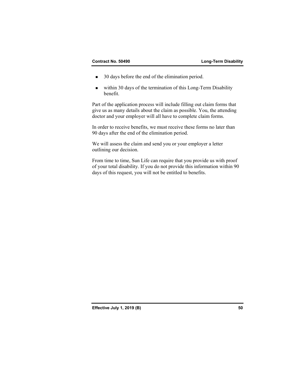- 30 days before the end of the elimination period.
- within 30 days of the termination of this Long-Term Disability benefit.

Part of the application process will include filling out claim forms that give us as many details about the claim as possible. You, the attending doctor and your employer will all have to complete claim forms.

In order to receive benefits, we must receive these forms no later than 90 days after the end of the elimination period.

We will assess the claim and send you or your employer a letter outlining our decision.

From time to time, Sun Life can require that you provide us with proof of your total disability. If you do not provide this information within 90 days of this request, you will not be entitled to benefits.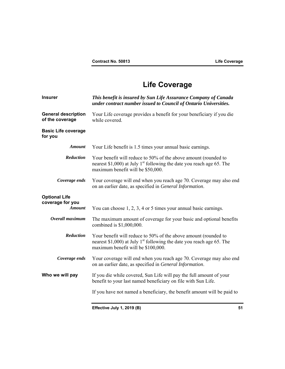# **Life Coverage**

| <b>Insurer</b>                                            | This benefit is insured by Sun Life Assurance Company of Canada<br>under contract number issued to Council of Ontario Universities.                                                        |
|-----------------------------------------------------------|--------------------------------------------------------------------------------------------------------------------------------------------------------------------------------------------|
| <b>General description</b><br>of the coverage             | Your Life coverage provides a benefit for your beneficiary if you die<br>while covered.                                                                                                    |
| <b>Basic Life coverage</b><br>for you                     |                                                                                                                                                                                            |
| <b>Amount</b>                                             | Your Life benefit is 1.5 times your annual basic earnings.                                                                                                                                 |
| Reduction                                                 | Your benefit will reduce to 50% of the above amount (rounded to<br>nearest \$1,000) at July 1 <sup>st</sup> following the date you reach age 65. The<br>maximum benefit will be \$50,000.  |
| Coverage ends                                             | Your coverage will end when you reach age 70. Coverage may also end<br>on an earlier date, as specified in General Information.                                                            |
| <b>Optional Life</b><br>coverage for you<br><b>Amount</b> | You can choose $1, 2, 3, 4$ or 5 times your annual basic earnings.                                                                                                                         |
| Overall maximum                                           | The maximum amount of coverage for your basic and optional benefits<br>combined is \$1,000,000.                                                                                            |
| Reduction                                                 | Your benefit will reduce to 50% of the above amount (rounded to<br>nearest \$1,000) at July 1 <sup>st</sup> following the date you reach age 65. The<br>maximum benefit will be \$100,000. |
| Coverage ends                                             | Your coverage will end when you reach age 70. Coverage may also end<br>on an earlier date, as specified in General Information.                                                            |
| Who we will pay                                           | If you die while covered, Sun Life will pay the full amount of your<br>benefit to your last named beneficiary on file with Sun Life.                                                       |
|                                                           | If you have not named a beneficiary, the benefit amount will be paid to                                                                                                                    |
|                                                           | Effective July 1, 2019 (B)<br>51                                                                                                                                                           |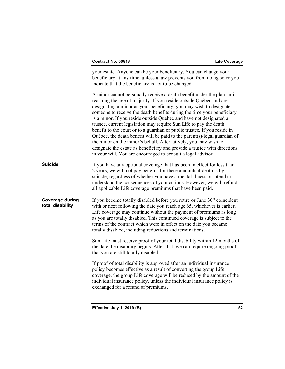your estate. Anyone can be your beneficiary. You can change your beneficiary at any time, unless a law prevents you from doing so or you indicate that the beneficiary is not to be changed. A minor cannot personally receive a death benefit under the plan until reaching the age of majority. If you reside outside Québec and are designating a minor as your beneficiary, you may wish to designate someone to receive the death benefits during the time your beneficiary is a minor. If you reside outside Québec and have not designated a trustee, current legislation may require Sun Life to pay the death benefit to the court or to a guardian or public trustee. If you reside in Québec, the death benefit will be paid to the parent(s)/legal guardian of the minor on the minor's behalf. Alternatively, you may wish to designate the estate as beneficiary and provide a trustee with directions in your will. You are encouraged to consult a legal advisor. **Suicide** If you have any optional coverage that has been in effect for less than 2 years, we will not pay benefits for these amounts if death is by suicide, regardless of whether you have a mental illness or intend or understand the consequences of your actions. However, we will refund all applicable Life coverage premiums that have been paid. **Coverage during** If you become totally disabled before you retire or June 30<sup>th</sup> coincident **total disability** with or next following the date you reach age 65, whichever is earlier. with or next following the date you reach age 65, whichever is earlier, Life coverage may continue without the payment of premiums as long as you are totally disabled. This continued coverage is subject to the terms of the contract which were in effect on the date you became totally disabled, including reductions and terminations. Sun Life must receive proof of your total disability within 12 months of the date the disability begins. After that, we can require ongoing proof that you are still totally disabled. If proof of total disability is approved after an individual insurance policy becomes effective as a result of converting the group Life coverage, the group Life coverage will be reduced by the amount of the individual insurance policy, unless the individual insurance policy is exchanged for a refund of premiums.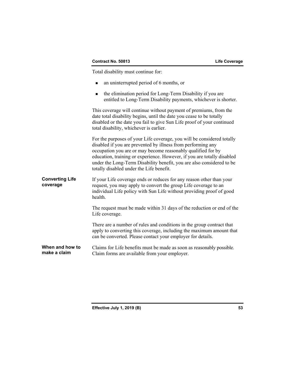Total disability must continue for:

- an uninterrupted period of 6 months, or
- the elimination period for Long-Term Disability if you are entitled to Long-Term Disability payments, whichever is shorter.

This coverage will continue without payment of premiums, from the date total disability begins, until the date you cease to be totally disabled or the date you fail to give Sun Life proof of your continued total disability, whichever is earlier.

For the purposes of your Life coverage, you will be considered totally disabled if you are prevented by illness from performing any occupation you are or may become reasonably qualified for by education, training or experience. However, if you are totally disabled under the Long-Term Disability benefit, you are also considered to be totally disabled under the Life benefit.

 request, you may apply to convert the group Life coverage to an **Converting Life coverage**  If your Life coverage ends or reduces for any reason other than your individual Life policy with Sun Life without providing proof of good health.

> The request must be made within 31 days of the reduction or end of the Life coverage.

> There are a number of rules and conditions in the group contract that apply to converting this coverage, including the maximum amount that can be converted. Please contact your employer for details.

**When and how to make a claim**  Claims for Life benefits must be made as soon as reasonably possible. Claim forms are available from your employer.